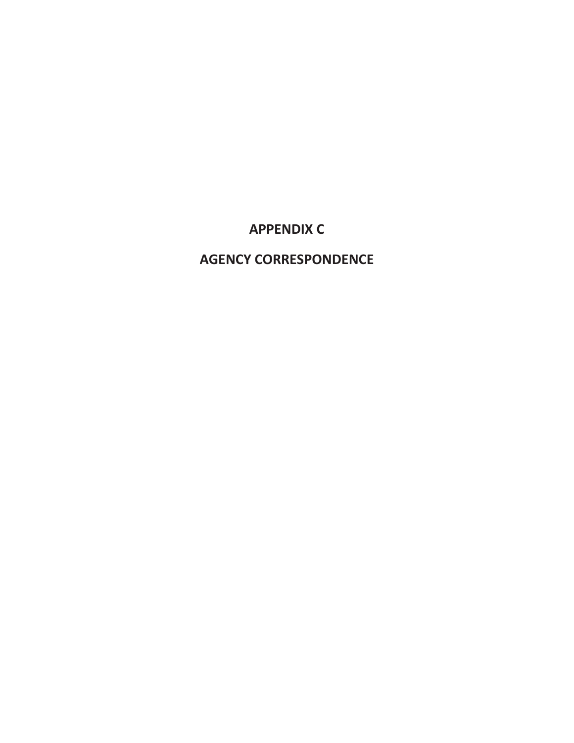## **APPENDIX C**

### **AGENCY CORRESPONDENCE**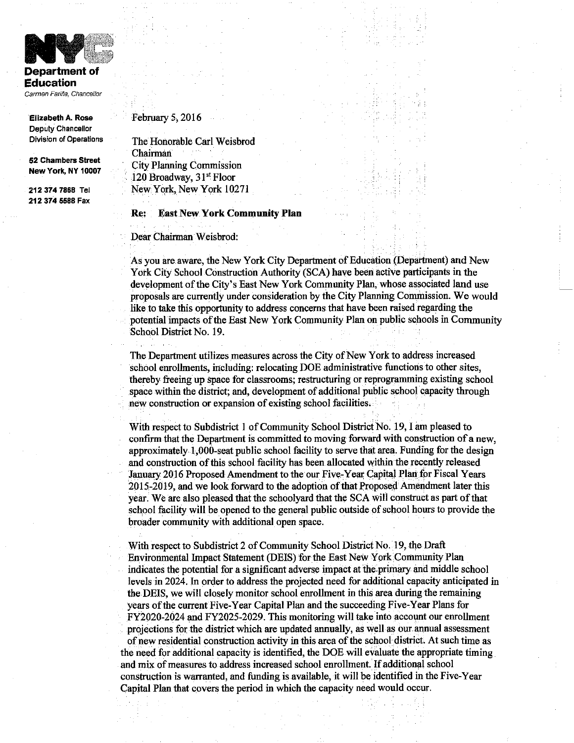

**Department of Education** Carmen Fariña, Chancellor

**Elizabeth A. Rose** Deputy Chancellor **Division of Operations** 

52 Chambers Street New York, NY 10007

212 374 7868 Tel 212 374 5588 Fax

#### February 5, 2016

The Honorable Carl Weisbrod Chairman **City Planning Commission** 120 Broadway, 31<sup>st</sup> Floor New York, New York 10271

#### **Re:** East New York Community Plan

Dear Chairman Weisbrod:

As you are aware, the New York City Department of Education (Department) and New York City School Construction Authority (SCA) have been active participants in the development of the City's East New York Community Plan, whose associated land use proposals are currently under consideration by the City Planning Commission. We would like to take this opportunity to address concerns that have been raised regarding the potential impacts of the East New York Community Plan on public schools in Community School District No. 19.

The Department utilizes measures across the City of New York to address increased school enrollments, including: relocating DOE administrative functions to other sites, thereby freeing up space for classrooms; restructuring or reprogramming existing school space within the district; and, development of additional public school capacity through new construction or expansion of existing school facilities.

With respect to Subdistrict 1 of Community School District No. 19, I am pleased to confirm that the Department is committed to moving forward with construction of a new, approximately 1,000-seat public school facility to serve that area. Funding for the design and construction of this school facility has been allocated within the recently released January 2016 Proposed Amendment to the our Five-Year Capital Plan for Fiscal Years 2015-2019, and we look forward to the adoption of that Proposed Amendment later this year. We are also pleased that the schoolyard that the SCA will construct as part of that school facility will be opened to the general public outside of school hours to provide the broader community with additional open space.

With respect to Subdistrict 2 of Community School District No. 19, the Draft Environmental Impact Statement (DEIS) for the East New York Community Plan indicates the potential for a significant adverse impact at the primary and middle school levels in 2024. In order to address the projected need for additional capacity anticipated in the DEIS, we will closely monitor school enrollment in this area during the remaining years of the current Five-Year Capital Plan and the succeeding Five-Year Plans for FY2020-2024 and FY2025-2029. This monitoring will take into account our enrollment projections for the district which are updated annually, as well as our annual assessment of new residential construction activity in this area of the school district. At such time as the need for additional capacity is identified, the DOE will evaluate the appropriate timing and mix of measures to address increased school enrollment. If additional school construction is warranted, and funding is available, it will be identified in the Five-Year Capital Plan that covers the period in which the capacity need would occur.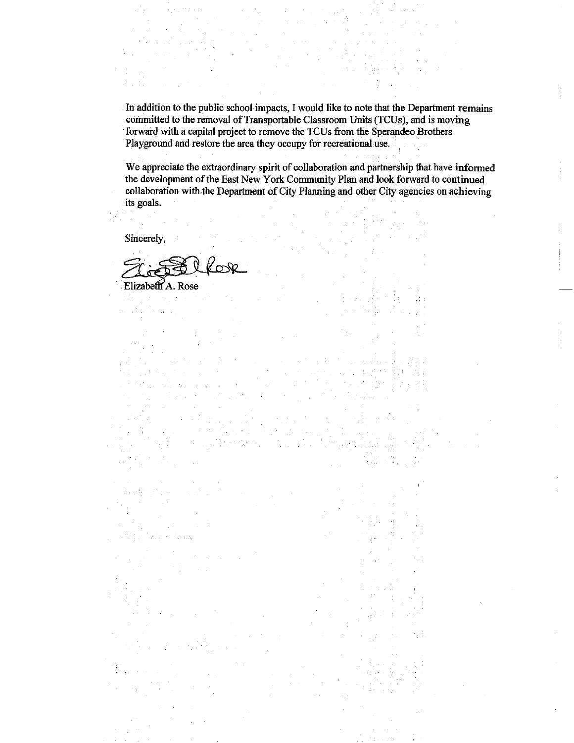In addition to the public school impacts, I would like to note that the Department remains committed to the removal of Transportable Classroom Units (TCUs), and is moving forward with a capital project to remove the TCUs from the Sperandeo Brothers Playground and restore the area they occupy for recreational use.

We appreciate the extraordinary spirit of collaboration and partnership that have informed the development of the East New York Community Plan and look forward to continued collaboration with the Department of City Planning and other City agencies on achieving its goals.

Sincerely,

بالأبواء

KON

 $\Delta \phi_{\rm{max}}$  and  $\phi_{\rm{max}}$ 

Elizabeth A Rose  $\sim 3$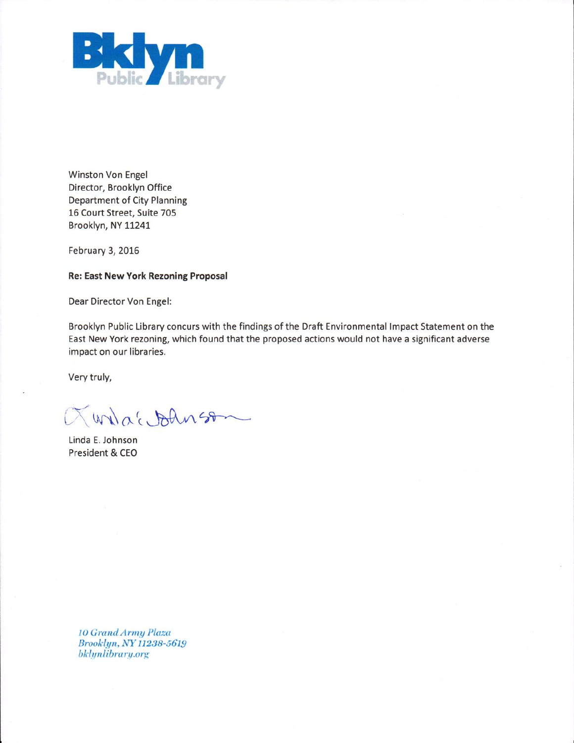

Winston Von Engel Director, Brooklyn Office **Department of City Planning** 16 Court Street, Suite 705 Brooklyn, NY 11241

February 3, 2016

**Re: East New York Rezoning Proposal** 

Dear Director Von Engel:

Brooklyn Public Library concurs with the findings of the Draft Environmental Impact Statement on the East New York rezoning, which found that the proposed actions would not have a significant adverse impact on our libraries.

Very truly,

Quiaconness

Linda E. Johnson President & CEO

> **10 Grand Army Plaza** Brooklyn, NY 11238-5619 bklynlibrary.org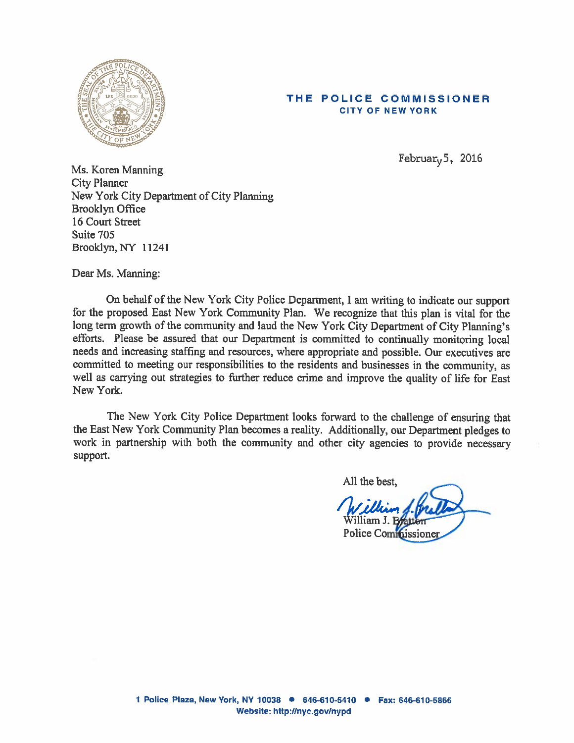

#### THE POLICE COMMISSIONER **CITY OF NEW YORK**

Februar<sub> $v$ </sub>5, 2016

Ms. Koren Manning **City Planner** New York City Department of City Planning **Brooklyn Office** 16 Court Street Suite 705 Brooklyn, NY 11241

Dear Ms. Manning:

On behalf of the New York City Police Department, I am writing to indicate our support for the proposed East New York Community Plan. We recognize that this plan is vital for the long term growth of the community and laud the New York City Department of City Planning's efforts. Please be assured that our Department is committed to continually monitoring local needs and increasing staffing and resources, where appropriate and possible. Our executives are committed to meeting our responsibilities to the residents and businesses in the community, as well as carrying out strategies to further reduce crime and improve the quality of life for East New York.

The New York City Police Department looks forward to the challenge of ensuring that the East New York Community Plan becomes a reality. Additionally, our Department pledges to work in partnership with both the community and other city agencies to provide necessary support.

All the best,

lliam J. Police Cominissione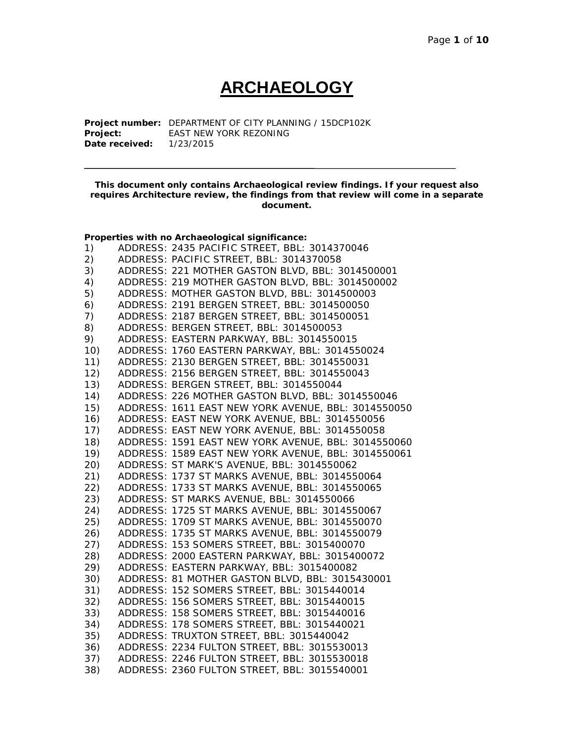# **ARCHAEOLOGY**

**Project number:** DEPARTMENT OF CITY PLANNING / 15DCP102K **EAST NEW YORK REZONING Date received:** 1/23/2015

**This document only contains Archaeological review findings. If your request also requires Architecture review, the findings from that review will come in a separate document.**

|     | Properties with no Archaeological significance:     |
|-----|-----------------------------------------------------|
| 1)  | ADDRESS: 2435 PACIFIC STREET, BBL: 3014370046       |
| 2)  | ADDRESS: PACIFIC STREET, BBL: 3014370058            |
| 3)  | ADDRESS: 221 MOTHER GASTON BLVD, BBL: 3014500001    |
| 4)  | ADDRESS: 219 MOTHER GASTON BLVD, BBL: 3014500002    |
| 5)  | ADDRESS: MOTHER GASTON BLVD, BBL: 3014500003        |
| 6)  | ADDRESS: 2191 BERGEN STREET, BBL: 3014500050        |
| 7)  | ADDRESS: 2187 BERGEN STREET, BBL: 3014500051        |
| 8)  | ADDRESS: BERGEN STREET, BBL: 3014500053             |
| 9)  | ADDRESS: EASTERN PARKWAY, BBL: 3014550015           |
| 10) | ADDRESS: 1760 EASTERN PARKWAY, BBL: 3014550024      |
| 11) | ADDRESS: 2130 BERGEN STREET, BBL: 3014550031        |
| 12) | ADDRESS: 2156 BERGEN STREET, BBL: 3014550043        |
| 13) | ADDRESS: BERGEN STREET, BBL: 3014550044             |
| 14) | ADDRESS: 226 MOTHER GASTON BLVD, BBL: 3014550046    |
| 15) | ADDRESS: 1611 EAST NEW YORK AVENUE, BBL: 3014550050 |
| 16) | ADDRESS: EAST NEW YORK AVENUE, BBL: 3014550056      |
| 17) | ADDRESS: EAST NEW YORK AVENUE, BBL: 3014550058      |
| 18) | ADDRESS: 1591 EAST NEW YORK AVENUE, BBL: 3014550060 |
| 19) | ADDRESS: 1589 EAST NEW YORK AVENUE, BBL: 3014550061 |
| 20) | ADDRESS: ST MARK'S AVENUE, BBL: 3014550062          |
| 21) | ADDRESS: 1737 ST MARKS AVENUE, BBL: 3014550064      |
| 22) | ADDRESS: 1733 ST MARKS AVENUE, BBL: 3014550065      |
| 23) | ADDRESS: ST MARKS AVENUE, BBL: 3014550066           |
| 24) | ADDRESS: 1725 ST MARKS AVENUE, BBL: 3014550067      |
| 25) | ADDRESS: 1709 ST MARKS AVENUE, BBL: 3014550070      |
| 26) | ADDRESS: 1735 ST MARKS AVENUE, BBL: 3014550079      |
| 27) | ADDRESS: 153 SOMERS STREET, BBL: 3015400070         |
| 28) | ADDRESS: 2000 EASTERN PARKWAY, BBL: 3015400072      |
| 29) | ADDRESS: EASTERN PARKWAY, BBL: 3015400082           |
| 30) | ADDRESS: 81 MOTHER GASTON BLVD, BBL: 3015430001     |
| 31) | ADDRESS: 152 SOMERS STREET, BBL: 3015440014         |
| 32) | ADDRESS: 156 SOMERS STREET, BBL: 3015440015         |
| 33) | ADDRESS: 158 SOMERS STREET, BBL: 3015440016         |
| 34) | ADDRESS: 178 SOMERS STREET, BBL: 3015440021         |
| 35) | ADDRESS: TRUXTON STREET, BBL: 3015440042            |
| 36) | ADDRESS: 2234 FULTON STREET, BBL: 3015530013        |
| 37) | ADDRESS: 2246 FULTON STREET, BBL: 3015530018        |
| 38) | ADDRESS: 2360 FULTON STREET, BBL: 3015540001        |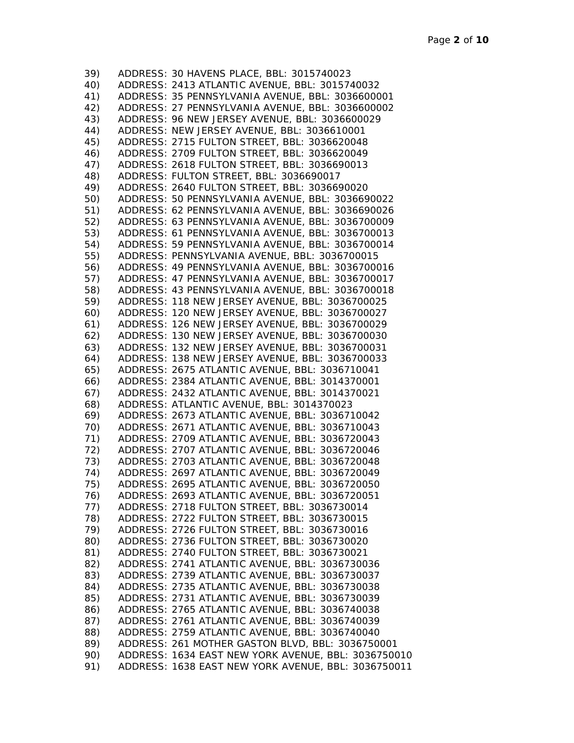| 39)        | ADDRESS: 30 HAVENS PLACE, BBL: 3015740023                                                        |
|------------|--------------------------------------------------------------------------------------------------|
| 40)        | ADDRESS: 2413 ATLANTIC AVENUE, BBL: 3015740032                                                   |
| 41)        | ADDRESS: 35 PENNSYLVANIA AVENUE, BBL: 3036600001                                                 |
| 42)        | ADDRESS: 27 PENNSYLVANIA AVENUE, BBL: 3036600002                                                 |
| 43)        | ADDRESS: 96 NEW JERSEY AVENUE, BBL: 3036600029                                                   |
| 44)        | ADDRESS: NEW JERSEY AVENUE, BBL: 3036610001                                                      |
| 45)        | ADDRESS: 2715 FULTON STREET, BBL: 3036620048                                                     |
| 46)        | ADDRESS: 2709 FULTON STREET, BBL: 3036620049                                                     |
| 47)        | ADDRESS: 2618 FULTON STREET, BBL: 3036690013                                                     |
| 48)        | ADDRESS: FULTON STREET, BBL: 3036690017                                                          |
| 49)        | ADDRESS: 2640 FULTON STREET, BBL: 3036690020                                                     |
| 50)        | ADDRESS: 50 PENNSYLVANIA AVENUE, BBL: 3036690022                                                 |
| 51)        | ADDRESS: 62 PENNSYLVANIA AVENUE, BBL: 3036690026                                                 |
| 52)        | ADDRESS: 63 PENNSYLVANIA AVENUE, BBL: 3036700009                                                 |
| 53)        | ADDRESS: 61 PENNSYLVANIA AVENUE, BBL: 3036700013                                                 |
| 54)        | ADDRESS: 59 PENNSYLVANIA AVENUE, BBL: 3036700014                                                 |
| 55)        | ADDRESS: PENNSYLVANIA AVENUE, BBL: 3036700015                                                    |
| 56)        | ADDRESS: 49 PENNSYLVANIA AVENUE, BBL: 3036700016                                                 |
| 57)        | ADDRESS: 47 PENNSYLVANIA AVENUE, BBL: 3036700017                                                 |
| 58)        | ADDRESS: 43 PENNSYLVANIA AVENUE, BBL: 3036700018                                                 |
| 59)        | ADDRESS: 118 NEW JERSEY AVENUE, BBL: 3036700025                                                  |
| 60)        | ADDRESS: 120 NEW JERSEY AVENUE, BBL: 3036700027                                                  |
|            | ADDRESS: 126 NEW JERSEY AVENUE, BBL: 3036700029                                                  |
| 61)<br>62) | ADDRESS: 130 NEW JERSEY AVENUE, BBL: 3036700030                                                  |
| 63)        |                                                                                                  |
|            | ADDRESS: 132 NEW JERSEY AVENUE, BBL: 3036700031                                                  |
| 64)        | ADDRESS: 138 NEW JERSEY AVENUE, BBL: 3036700033                                                  |
| 65)        | ADDRESS: 2675 ATLANTIC AVENUE, BBL: 3036710041                                                   |
| 66)        | ADDRESS: 2384 ATLANTIC AVENUE, BBL: 3014370001<br>ADDRESS: 2432 ATLANTIC AVENUE, BBL: 3014370021 |
| 67)<br>68) | ADDRESS: ATLANTIC AVENUE, BBL: 3014370023                                                        |
| 69)        | ADDRESS: 2673 ATLANTIC AVENUE, BBL: 3036710042                                                   |
| 70)        |                                                                                                  |
| 71)        | ADDRESS: 2671 ATLANTIC AVENUE, BBL: 3036710043<br>ADDRESS: 2709 ATLANTIC AVENUE, BBL: 3036720043 |
| 72)        |                                                                                                  |
| 73)        | ADDRESS: 2707 ATLANTIC AVENUE, BBL: 3036720046                                                   |
|            | ADDRESS: 2703 ATLANTIC AVENUE, BBL: 3036720048                                                   |
| 74)        | ADDRESS: 2697 ATLANTIC AVENUE, BBL: 3036720049                                                   |
| 75)        | ADDRESS: 2695 ATLANTIC AVENUE, BBL: 3036720050<br>ADDRESS: 2693 ATLANTIC AVENUE, BBL: 3036720051 |
| 76)        |                                                                                                  |
| 77)        | ADDRESS: 2718 FULTON STREET, BBL: 3036730014                                                     |
| 78)        | ADDRESS: 2722 FULTON STREET, BBL: 3036730015                                                     |
| 79)        | ADDRESS: 2726 FULTON STREET, BBL: 3036730016                                                     |
| 80)        | ADDRESS: 2736 FULTON STREET, BBL: 3036730020                                                     |
| 81)        | ADDRESS: 2740 FULTON STREET, BBL: 3036730021                                                     |
| 82)        | ADDRESS: 2741 ATLANTIC AVENUE, BBL: 3036730036                                                   |
| 83)        | ADDRESS: 2739 ATLANTIC AVENUE, BBL: 3036730037                                                   |
| 84)        | ADDRESS: 2735 ATLANTIC AVENUE, BBL: 3036730038                                                   |
| 85)        | ADDRESS: 2731 ATLANTIC AVENUE, BBL: 3036730039                                                   |
| 86)        | ADDRESS: 2765 ATLANTIC AVENUE, BBL: 3036740038                                                   |
| 87)        | ADDRESS: 2761 ATLANTIC AVENUE, BBL: 3036740039                                                   |
| 88)        | ADDRESS: 2759 ATLANTIC AVENUE, BBL: 3036740040                                                   |
| 89)        | ADDRESS: 261 MOTHER GASTON BLVD, BBL: 3036750001                                                 |
| 90)        | ADDRESS: 1634 EAST NEW YORK AVENUE, BBL: 3036750010                                              |
| 91)        | ADDRESS: 1638 EAST NEW YORK AVENUE, BBL: 3036750011                                              |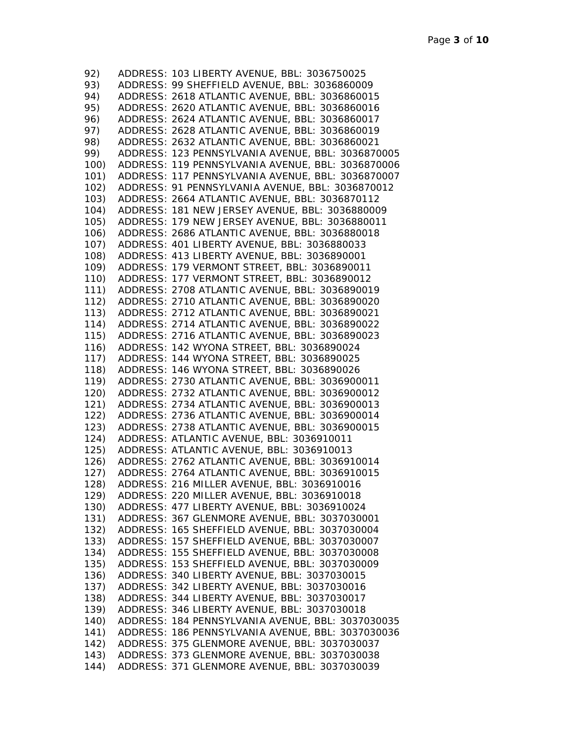| 92)          | ADDRESS: 103 LIBERTY AVENUE, BBL: 3036750025        |
|--------------|-----------------------------------------------------|
| 93)          | ADDRESS: 99 SHEFFIELD AVENUE, BBL: 3036860009       |
| 94)          | ADDRESS: 2618 ATLANTIC AVENUE, BBL: 3036860015      |
| 95)          | ADDRESS: 2620 ATLANTIC AVENUE, BBL: 3036860016      |
| 96)          | ADDRESS: 2624 ATLANTIC AVENUE, BBL: 3036860017      |
| 97)          | ADDRESS: 2628 ATLANTIC AVENUE, BBL: 3036860019      |
| 98)          | ADDRESS: 2632 ATLANTIC AVENUE, BBL: 3036860021      |
| 99)          | ADDRESS: 123 PENNSYLVANIA AVENUE, BBL: 3036870005   |
| 100)         | ADDRESS: 119 PENNSYLVANIA AVENUE, BBL: 3036870006   |
| 101)         | ADDRESS: 117 PENNSYLVANIA AVENUE, BBL: 3036870007   |
| 102)         | ADDRESS: 91 PENNSYLVANIA AVENUE, BBL: 3036870012    |
| 103)         | ADDRESS: 2664 ATLANTIC AVENUE, BBL: 3036870112      |
| 104)         | ADDRESS: 181 NEW JERSEY AVENUE, BBL: 3036880009     |
| 105)         | ADDRESS: 179 NEW JERSEY AVENUE, BBL: 3036880011     |
| 106)         | ADDRESS: 2686 ATLANTIC AVENUE, BBL: 3036880018      |
| 107)         | ADDRESS: 401 LIBERTY AVENUE, BBL: 3036880033        |
| 108)         | ADDRESS: 413 LIBERTY AVENUE, BBL: 3036890001        |
|              | ADDRESS: 179 VERMONT STREET, BBL: 3036890011        |
| 109)<br>110) |                                                     |
|              | ADDRESS: 177 VERMONT STREET, BBL: 3036890012        |
| 111)         | ADDRESS: 2708 ATLANTIC AVENUE, BBL: 3036890019      |
| 112)         | ADDRESS: 2710 ATLANTIC AVENUE, BBL: 3036890020      |
| 113)         | ADDRESS: 2712 ATLANTIC AVENUE, BBL: 3036890021      |
| 114)         | ADDRESS: 2714 ATLANTIC AVENUE, BBL: 3036890022      |
| 115)         | ADDRESS: 2716 ATLANTIC AVENUE, BBL: 3036890023      |
| 116)         | ADDRESS: 142 WYONA STREET, BBL: 3036890024          |
| 117)         | ADDRESS: 144 WYONA STREET, BBL: 3036890025          |
| 118)         | ADDRESS: 146 WYONA STREET, BBL: 3036890026          |
| 119)         | ADDRESS: 2730 ATLANTIC AVENUE, BBL: 3036900011      |
| 120)         | ADDRESS: 2732 ATLANTIC AVENUE, BBL: 3036900012      |
| 121)         | ADDRESS: 2734 ATLANTIC AVENUE, BBL: 3036900013      |
| 122)         | ADDRESS: 2736 ATLANTIC AVENUE, BBL: 3036900014      |
| 123)         | ADDRESS: 2738 ATLANTIC AVENUE, BBL: 3036900015      |
| 124)         | ADDRESS: ATLANTIC AVENUE, BBL: 3036910011           |
|              | 125) ADDRESS: ATLANTIC AVENUE, BBL: 3036910013      |
|              | 126) ADDRESS: 2762 ATLANTIC AVENUE, BBL: 3036910014 |
|              | 127) ADDRESS: 2764 ATLANTIC AVENUE, BBL: 3036910015 |
| 128)         | ADDRESS: 216 MILLER AVENUE, BBL: 3036910016         |
| 129)         | ADDRESS: 220 MILLER AVENUE, BBL: 3036910018         |
| 130)         | ADDRESS: 477 LIBERTY AVENUE, BBL: 3036910024        |
| 131)         | ADDRESS: 367 GLENMORE AVENUE, BBL: 3037030001       |
| 132)         | ADDRESS: 165 SHEFFIELD AVENUE, BBL: 3037030004      |
| 133)         | ADDRESS: 157 SHEFFIELD AVENUE, BBL: 3037030007      |
| 134)         | ADDRESS: 155 SHEFFIELD AVENUE, BBL: 3037030008      |
| 135)         | ADDRESS: 153 SHEFFIELD AVENUE, BBL: 3037030009      |
| 136)         | ADDRESS: 340 LIBERTY AVENUE, BBL: 3037030015        |
| 137)         | ADDRESS: 342 LIBERTY AVENUE, BBL: 3037030016        |
| 138)         | ADDRESS: 344 LIBERTY AVENUE, BBL: 3037030017        |
| 139)         | ADDRESS: 346 LIBERTY AVENUE, BBL: 3037030018        |
| 140)         | ADDRESS: 184 PENNSYLVANIA AVENUE, BBL: 3037030035   |
| 141)         | ADDRESS: 186 PENNSYLVANIA AVENUE, BBL: 3037030036   |
| 142)         | ADDRESS: 375 GLENMORE AVENUE, BBL: 3037030037       |
| 143)         | ADDRESS: 373 GLENMORE AVENUE, BBL: 3037030038       |
| 144)         | ADDRESS: 371 GLENMORE AVENUE, BBL: 3037030039       |
|              |                                                     |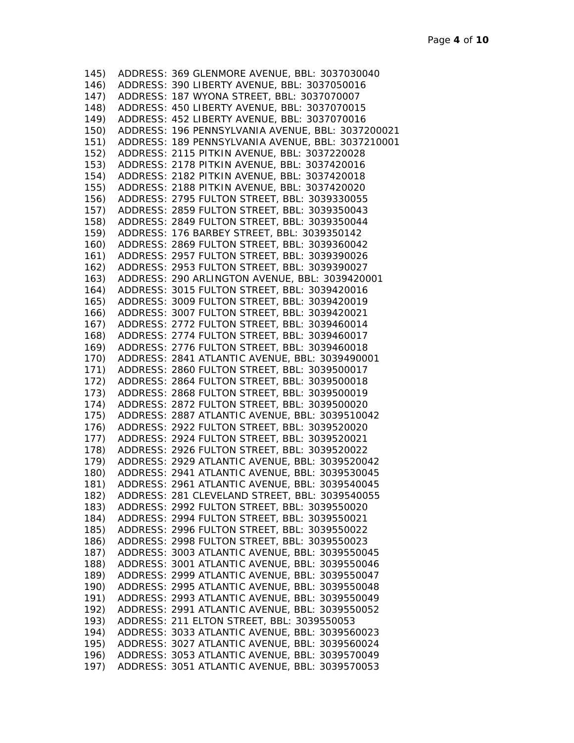|      | 145) ADDRESS: 369 GLENMORE AVENUE, BBL: 3037030040     |
|------|--------------------------------------------------------|
|      | 146) ADDRESS: 390 LIBERTY AVENUE, BBL: 3037050016      |
|      | 147) ADDRESS: 187 WYONA STREET, BBL: 3037070007        |
|      | 148) ADDRESS: 450 LIBERTY AVENUE, BBL: 3037070015      |
|      | 149) ADDRESS: 452 LIBERTY AVENUE, BBL: 3037070016      |
|      | 150) ADDRESS: 196 PENNSYLVANIA AVENUE, BBL: 3037200021 |
|      | 151) ADDRESS: 189 PENNSYLVANIA AVENUE, BBL: 3037210001 |
|      | 152) ADDRESS: 2115 PITKIN AVENUE, BBL: 3037220028      |
|      | 153) ADDRESS: 2178 PITKIN AVENUE, BBL: 3037420016      |
|      | 154) ADDRESS: 2182 PITKIN AVENUE, BBL: 3037420018      |
|      | 155) ADDRESS: 2188 PITKIN AVENUE, BBL: 3037420020      |
|      | 156) ADDRESS: 2795 FULTON STREET, BBL: 3039330055      |
|      | 157) ADDRESS: 2859 FULTON STREET, BBL: 3039350043      |
|      | 158) ADDRESS: 2849 FULTON STREET, BBL: 3039350044      |
|      | 159) ADDRESS: 176 BARBEY STREET, BBL: 3039350142       |
|      | 160) ADDRESS: 2869 FULTON STREET, BBL: 3039360042      |
|      | 161) ADDRESS: 2957 FULTON STREET, BBL: 3039390026      |
|      |                                                        |
|      | 162) ADDRESS: 2953 FULTON STREET, BBL: 3039390027      |
|      | 163) ADDRESS: 290 ARLINGTON AVENUE, BBL: 3039420001    |
|      | 164) ADDRESS: 3015 FULTON STREET, BBL: 3039420016      |
|      | 165) ADDRESS: 3009 FULTON STREET, BBL: 3039420019      |
|      | 166) ADDRESS: 3007 FULTON STREET, BBL: 3039420021      |
|      | 167) ADDRESS: 2772 FULTON STREET, BBL: 3039460014      |
|      | 168) ADDRESS: 2774 FULTON STREET, BBL: 3039460017      |
|      | 169) ADDRESS: 2776 FULTON STREET, BBL: 3039460018      |
|      | 170) ADDRESS: 2841 ATLANTIC AVENUE, BBL: 3039490001    |
|      | 171) ADDRESS: 2860 FULTON STREET, BBL: 3039500017      |
|      | 172) ADDRESS: 2864 FULTON STREET, BBL: 3039500018      |
|      | 173) ADDRESS: 2868 FULTON STREET, BBL: 3039500019      |
|      | 174) ADDRESS: 2872 FULTON STREET, BBL: 3039500020      |
|      | 175) ADDRESS: 2887 ATLANTIC AVENUE, BBL: 3039510042    |
|      | 176) ADDRESS: 2922 FULTON STREET, BBL: 3039520020      |
|      | 177) ADDRESS: 2924 FULTON STREET, BBL: 3039520021      |
|      | 178) ADDRESS: 2926 FULTON STREET, BBL: 3039520022      |
|      | 179) ADDRESS: 2929 ATLANTIC AVENUE, BBL: 3039520042    |
|      | 180) ADDRESS: 2941 ATLANTIC AVENUE, BBL: 3039530045    |
|      | 181) ADDRESS: 2961 ATLANTIC AVENUE, BBL: 3039540045    |
| 182) | ADDRESS: 281 CLEVELAND STREET, BBL: 3039540055         |
| 183) | ADDRESS: 2992 FULTON STREET, BBL: 3039550020           |
| 184) | ADDRESS: 2994 FULTON STREET, BBL: 3039550021           |
| 185) | ADDRESS: 2996 FULTON STREET, BBL: 3039550022           |
| 186) | ADDRESS: 2998 FULTON STREET, BBL: 3039550023           |
| 187) | ADDRESS: 3003 ATLANTIC AVENUE, BBL: 3039550045         |
| 188) | ADDRESS: 3001 ATLANTIC AVENUE, BBL: 3039550046         |
| 189) | ADDRESS: 2999 ATLANTIC AVENUE, BBL: 3039550047         |
| 190) | ADDRESS: 2995 ATLANTIC AVENUE, BBL: 3039550048         |
| 191) | ADDRESS: 2993 ATLANTIC AVENUE, BBL: 3039550049         |
| 192) | ADDRESS: 2991 ATLANTIC AVENUE, BBL: 3039550052         |
| 193) | ADDRESS: 211 ELTON STREET, BBL: 3039550053             |
| 194) | ADDRESS: 3033 ATLANTIC AVENUE, BBL: 3039560023         |
| 195) | ADDRESS: 3027 ATLANTIC AVENUE, BBL: 3039560024         |
| 196) | ADDRESS: 3053 ATLANTIC AVENUE, BBL: 3039570049         |
| 197) | ADDRESS: 3051 ATLANTIC AVENUE, BBL: 3039570053         |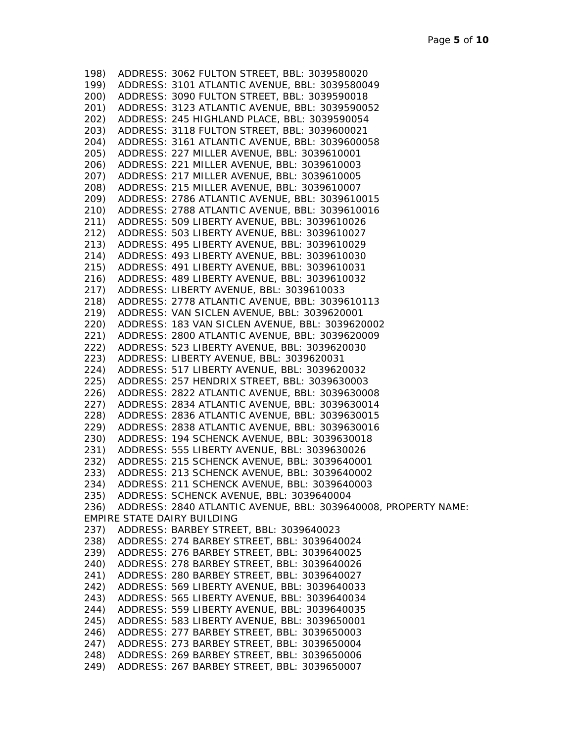198) ADDRESS: 3062 FULTON STREET, BBL: 3039580020 199) ADDRESS: 3101 ATLANTIC AVENUE, BBL: 3039580049 200) ADDRESS: 3090 FULTON STREET, BBL: 3039590018 201) ADDRESS: 3123 ATLANTIC AVENUE, BBL: 3039590052 202) ADDRESS: 245 HIGHLAND PLACE, BBL: 3039590054 203) ADDRESS: 3118 FULTON STREET, BBL: 3039600021 204) ADDRESS: 3161 ATLANTIC AVENUE, BBL: 3039600058 205) ADDRESS: 227 MILLER AVENUE, BBL: 3039610001 206) ADDRESS: 221 MILLER AVENUE, BBL: 3039610003 207) ADDRESS: 217 MILLER AVENUE, BBL: 3039610005 208) ADDRESS: 215 MILLER AVENUE, BBL: 3039610007 209) ADDRESS: 2786 ATLANTIC AVENUE, BBL: 3039610015 210) ADDRESS: 2788 ATLANTIC AVENUE, BBL: 3039610016 211) ADDRESS: 509 LIBERTY AVENUE, BBL: 3039610026 212) ADDRESS: 503 LIBERTY AVENUE, BBL: 3039610027 213) ADDRESS: 495 LIBERTY AVENUE, BBL: 3039610029 214) ADDRESS: 493 LIBERTY AVENUE, BBL: 3039610030 215) ADDRESS: 491 LIBERTY AVENUE, BBL: 3039610031 216) ADDRESS: 489 LIBERTY AVENUE, BBL: 3039610032 217) ADDRESS: LIBERTY AVENUE, BBL: 3039610033 218) ADDRESS: 2778 ATLANTIC AVENUE, BBL: 3039610113 219) ADDRESS: VAN SICLEN AVENUE, BBL: 3039620001 220) ADDRESS: 183 VAN SICLEN AVENUE, BBL: 3039620002 221) ADDRESS: 2800 ATLANTIC AVENUE, BBL: 3039620009 222) ADDRESS: 523 LIBERTY AVENUE, BBL: 3039620030 223) ADDRESS: LIBERTY AVENUE, BBL: 3039620031 224) ADDRESS: 517 LIBERTY AVENUE, BBL: 3039620032 225) ADDRESS: 257 HENDRIX STREET, BBL: 3039630003 226) ADDRESS: 2822 ATLANTIC AVENUE, BBL: 3039630008 227) ADDRESS: 2834 ATLANTIC AVENUE, BBL: 3039630014 228) ADDRESS: 2836 ATLANTIC AVENUE, BBL: 3039630015 229) ADDRESS: 2838 ATLANTIC AVENUE, BBL: 3039630016 230) ADDRESS: 194 SCHENCK AVENUE, BBL: 3039630018 231) ADDRESS: 555 LIBERTY AVENUE, BBL: 3039630026 232) ADDRESS: 215 SCHENCK AVENUE, BBL: 3039640001 233) ADDRESS: 213 SCHENCK AVENUE, BBL: 3039640002 234) ADDRESS: 211 SCHENCK AVENUE, BBL: 3039640003 235) ADDRESS: SCHENCK AVENUE, BBL: 3039640004 236) ADDRESS: 2840 ATLANTIC AVENUE, BBL: 3039640008, PROPERTY NAME: EMPIRE STATE DAIRY BUILDING 237) ADDRESS: BARBEY STREET, BBL: 3039640023 238) ADDRESS: 274 BARBEY STREET, BBL: 3039640024 239) ADDRESS: 276 BARBEY STREET, BBL: 3039640025 240) ADDRESS: 278 BARBEY STREET, BBL: 3039640026 241) ADDRESS: 280 BARBEY STREET, BBL: 3039640027 242) ADDRESS: 569 LIBERTY AVENUE, BBL: 3039640033 243) ADDRESS: 565 LIBERTY AVENUE, BBL: 3039640034 244) ADDRESS: 559 LIBERTY AVENUE, BBL: 3039640035 245) ADDRESS: 583 LIBERTY AVENUE, BBL: 3039650001 246) ADDRESS: 277 BARBEY STREET, BBL: 3039650003 247) ADDRESS: 273 BARBEY STREET, BBL: 3039650004 248) ADDRESS: 269 BARBEY STREET, BBL: 3039650006 249) ADDRESS: 267 BARBEY STREET, BBL: 3039650007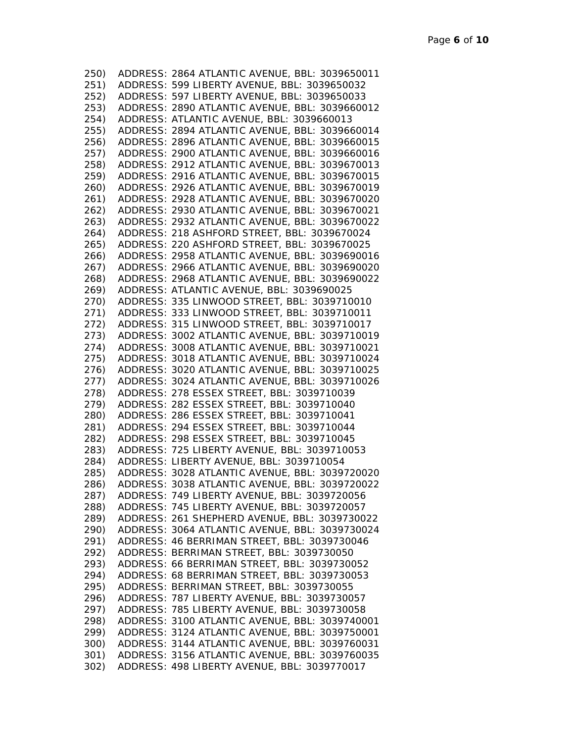| 250) | ADDRESS: 2864 ATLANTIC AVENUE, BBL: 3039650011      |
|------|-----------------------------------------------------|
| 251) | ADDRESS: 599 LIBERTY AVENUE, BBL: 3039650032        |
| 252) | ADDRESS: 597 LIBERTY AVENUE, BBL: 3039650033        |
| 253) | ADDRESS: 2890 ATLANTIC AVENUE, BBL: 3039660012      |
| 254) | ADDRESS: ATLANTIC AVENUE, BBL: 3039660013           |
| 255) | ADDRESS: 2894 ATLANTIC AVENUE, BBL: 3039660014      |
| 256) | ADDRESS: 2896 ATLANTIC AVENUE, BBL: 3039660015      |
| 257) | ADDRESS: 2900 ATLANTIC AVENUE, BBL: 3039660016      |
| 258) | ADDRESS: 2912 ATLANTIC AVENUE, BBL: 3039670013      |
| 259) | ADDRESS: 2916 ATLANTIC AVENUE, BBL: 3039670015      |
| 260) | ADDRESS: 2926 ATLANTIC AVENUE, BBL: 3039670019      |
| 261) | ADDRESS: 2928 ATLANTIC AVENUE, BBL: 3039670020      |
| 262) | ADDRESS: 2930 ATLANTIC AVENUE, BBL: 3039670021      |
| 263) | ADDRESS: 2932 ATLANTIC AVENUE, BBL: 3039670022      |
| 264) | ADDRESS: 218 ASHFORD STREET, BBL: 3039670024        |
| 265) | ADDRESS: 220 ASHFORD STREET, BBL: 3039670025        |
| 266) | ADDRESS: 2958 ATLANTIC AVENUE, BBL: 3039690016      |
| 267) | ADDRESS: 2966 ATLANTIC AVENUE, BBL: 3039690020      |
| 268) | ADDRESS: 2968 ATLANTIC AVENUE, BBL: 3039690022      |
| 269) | ADDRESS: ATLANTIC AVENUE, BBL: 3039690025           |
| 270) | ADDRESS: 335 LINWOOD STREET, BBL: 3039710010        |
| 271) | ADDRESS: 333 LINWOOD STREET, BBL: 3039710011        |
| 272) | ADDRESS: 315 LINWOOD STREET, BBL: 3039710017        |
| 273) | ADDRESS: 3002 ATLANTIC AVENUE, BBL: 3039710019      |
| 274) | ADDRESS: 3008 ATLANTIC AVENUE, BBL: 3039710021      |
| 275) | ADDRESS: 3018 ATLANTIC AVENUE, BBL: 3039710024      |
| 276) | ADDRESS: 3020 ATLANTIC AVENUE, BBL: 3039710025      |
| 277) | ADDRESS: 3024 ATLANTIC AVENUE, BBL: 3039710026      |
|      | 278) ADDRESS: 278 ESSEX STREET, BBL: 3039710039     |
|      | 279) ADDRESS: 282 ESSEX STREET, BBL: 3039710040     |
| 280) | ADDRESS: 286 ESSEX STREET, BBL: 3039710041          |
|      | 281) ADDRESS: 294 ESSEX STREET, BBL: 3039710044     |
|      | 282) ADDRESS: 298 ESSEX STREET, BBL: 3039710045     |
|      | 283) ADDRESS: 725 LIBERTY AVENUE, BBL: 3039710053   |
|      | 284) ADDRESS: LIBERTY AVENUE, BBL: 3039710054       |
|      | 285) ADDRESS: 3028 ATLANTIC AVENUE, BBL: 3039720020 |
|      | 286) ADDRESS: 3038 ATLANTIC AVENUE, BBL: 3039720022 |
| 287) | ADDRESS: 749 LIBERTY AVENUE, BBL: 3039720056        |
| 288) | ADDRESS: 745 LIBERTY AVENUE, BBL: 3039720057        |
| 289) | ADDRESS: 261 SHEPHERD AVENUE, BBL: 3039730022       |
| 290) | ADDRESS: 3064 ATLANTIC AVENUE, BBL: 3039730024      |
| 291) | ADDRESS: 46 BERRIMAN STREET, BBL: 3039730046        |
| 292) | ADDRESS: BERRIMAN STREET, BBL: 3039730050           |
| 293) | ADDRESS: 66 BERRIMAN STREET, BBL: 3039730052        |
| 294) | ADDRESS: 68 BERRIMAN STREET, BBL: 3039730053        |
| 295) | ADDRESS: BERRIMAN STREET, BBL: 3039730055           |
| 296) | ADDRESS: 787 LIBERTY AVENUE, BBL: 3039730057        |
| 297) | ADDRESS: 785 LIBERTY AVENUE, BBL: 3039730058        |
| 298) | ADDRESS: 3100 ATLANTIC AVENUE, BBL: 3039740001      |
| 299) | ADDRESS: 3124 ATLANTIC AVENUE, BBL: 3039750001      |
| 300) | ADDRESS: 3144 ATLANTIC AVENUE, BBL: 3039760031      |
| 301) | ADDRESS: 3156 ATLANTIC AVENUE, BBL: 3039760035      |
| 302) | ADDRESS: 498 LIBERTY AVENUE, BBL: 3039770017        |
|      |                                                     |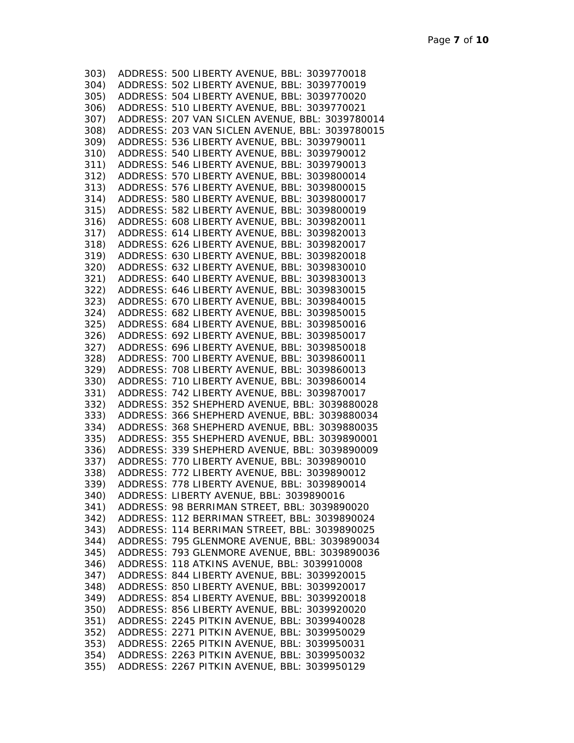| 303) | ADDRESS: 500 LIBERTY AVENUE, BBL: 3039770018       |
|------|----------------------------------------------------|
|      | 304) ADDRESS: 502 LIBERTY AVENUE, BBL: 3039770019  |
|      | 305) ADDRESS: 504 LIBERTY AVENUE, BBL: 3039770020  |
| 306) | ADDRESS: 510 LIBERTY AVENUE, BBL: 3039770021       |
| 307) | ADDRESS: 207 VAN SICLEN AVENUE, BBL: 3039780014    |
| 308) | ADDRESS: 203 VAN SICLEN AVENUE, BBL: 3039780015    |
| 309) | ADDRESS: 536 LIBERTY AVENUE, BBL: 3039790011       |
| 310) | ADDRESS: 540 LIBERTY AVENUE, BBL: 3039790012       |
| 311) | ADDRESS: 546 LIBERTY AVENUE, BBL: 3039790013       |
| 312) | ADDRESS: 570 LIBERTY AVENUE, BBL: 3039800014       |
| 313) | ADDRESS: 576 LIBERTY AVENUE, BBL: 3039800015       |
| 314) | ADDRESS: 580 LIBERTY AVENUE, BBL: 3039800017       |
| 315) | ADDRESS: 582 LIBERTY AVENUE, BBL: 3039800019       |
| 316) | ADDRESS: 608 LIBERTY AVENUE, BBL: 3039820011       |
| 317) | ADDRESS: 614 LIBERTY AVENUE, BBL: 3039820013       |
| 318) | ADDRESS: 626 LIBERTY AVENUE, BBL: 3039820017       |
| 319) | ADDRESS: 630 LIBERTY AVENUE, BBL: 3039820018       |
|      | ADDRESS: 632 LIBERTY AVENUE, BBL: 3039830010       |
| 320) |                                                    |
| 321) | ADDRESS: 640 LIBERTY AVENUE, BBL: 3039830013       |
| 322) | ADDRESS: 646 LIBERTY AVENUE, BBL: 3039830015       |
| 323) | ADDRESS: 670 LIBERTY AVENUE, BBL: 3039840015       |
|      | 324) ADDRESS: 682 LIBERTY AVENUE, BBL: 3039850015  |
|      | 325) ADDRESS: 684 LIBERTY AVENUE, BBL: 3039850016  |
|      | 326) ADDRESS: 692 LIBERTY AVENUE, BBL: 3039850017  |
|      | 327) ADDRESS: 696 LIBERTY AVENUE, BBL: 3039850018  |
|      | 328) ADDRESS: 700 LIBERTY AVENUE, BBL: 3039860011  |
|      | 329) ADDRESS: 708 LIBERTY AVENUE, BBL: 3039860013  |
|      | 330) ADDRESS: 710 LIBERTY AVENUE, BBL: 3039860014  |
|      | 331) ADDRESS: 742 LIBERTY AVENUE, BBL: 3039870017  |
|      | 332) ADDRESS: 352 SHEPHERD AVENUE, BBL: 3039880028 |
|      | 333) ADDRESS: 366 SHEPHERD AVENUE, BBL: 3039880034 |
|      | 334) ADDRESS: 368 SHEPHERD AVENUE, BBL: 3039880035 |
|      | 335) ADDRESS: 355 SHEPHERD AVENUE, BBL: 3039890001 |
|      | 336) ADDRESS: 339 SHEPHERD AVENUE, BBL: 3039890009 |
|      | 337) ADDRESS: 770 LIBERTY AVENUE, BBL: 3039890010  |
|      | 338) ADDRESS: 772 LIBERTY AVENUE, BBL: 3039890012  |
|      | 339) ADDRESS: 778 LIBERTY AVENUE, BBL: 3039890014  |
| 340) | ADDRESS: LIBERTY AVENUE, BBL: 3039890016           |
| 341) | ADDRESS: 98 BERRIMAN STREET, BBL: 3039890020       |
| 342) | ADDRESS: 112 BERRIMAN STREET, BBL: 3039890024      |
| 343) | ADDRESS: 114 BERRIMAN STREET, BBL: 3039890025      |
| 344) | ADDRESS: 795 GLENMORE AVENUE, BBL: 3039890034      |
| 345) | ADDRESS: 793 GLENMORE AVENUE, BBL: 3039890036      |
| 346) | ADDRESS: 118 ATKINS AVENUE, BBL: 3039910008        |
| 347) | ADDRESS: 844 LIBERTY AVENUE, BBL: 3039920015       |
| 348) | ADDRESS: 850 LIBERTY AVENUE, BBL: 3039920017       |
| 349) | ADDRESS: 854 LIBERTY AVENUE, BBL: 3039920018       |
| 350) | ADDRESS: 856 LIBERTY AVENUE, BBL: 3039920020       |
| 351) | ADDRESS: 2245 PITKIN AVENUE, BBL: 3039940028       |
| 352) | ADDRESS: 2271 PITKIN AVENUE, BBL: 3039950029       |
| 353) | ADDRESS: 2265 PITKIN AVENUE, BBL: 3039950031       |
| 354) | ADDRESS: 2263 PITKIN AVENUE, BBL: 3039950032       |
| 355) | ADDRESS: 2267 PITKIN AVENUE, BBL: 3039950129       |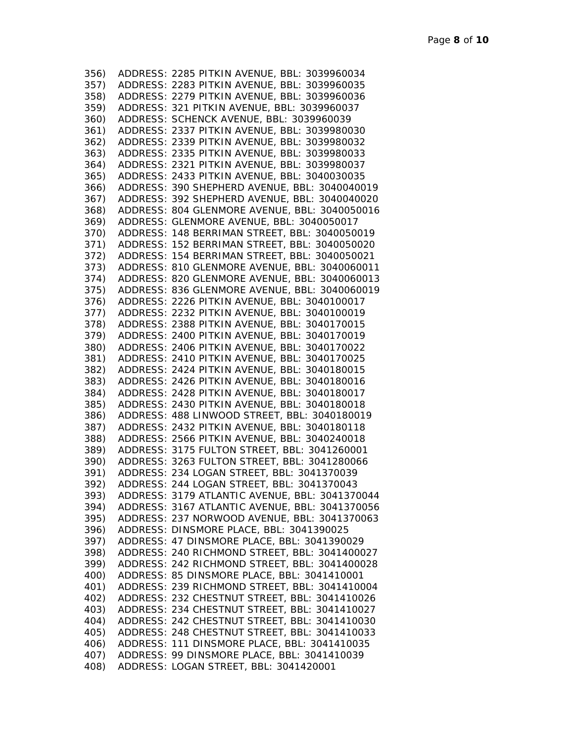| 356) | ADDRESS: 2285 PITKIN AVENUE, BBL: 3039960034      |
|------|---------------------------------------------------|
| 357) | ADDRESS: 2283 PITKIN AVENUE, BBL: 3039960035      |
| 358) | ADDRESS: 2279 PITKIN AVENUE, BBL: 3039960036      |
| 359) | ADDRESS: 321 PITKIN AVENUE, BBL: 3039960037       |
| 360) | ADDRESS: SCHENCK AVENUE, BBL: 3039960039          |
| 361) | ADDRESS: 2337 PITKIN AVENUE, BBL: 3039980030      |
| 362) | ADDRESS: 2339 PITKIN AVENUE, BBL: 3039980032      |
| 363) | ADDRESS: 2335 PITKIN AVENUE, BBL: 3039980033      |
| 364) | ADDRESS: 2321 PITKIN AVENUE, BBL: 3039980037      |
| 365) | ADDRESS: 2433 PITKIN AVENUE, BBL: 3040030035      |
| 366) | ADDRESS: 390 SHEPHERD AVENUE, BBL: 3040040019     |
| 367) | ADDRESS: 392 SHEPHERD AVENUE, BBL: 3040040020     |
| 368) | ADDRESS: 804 GLENMORE AVENUE, BBL: 3040050016     |
| 369) | ADDRESS: GLENMORE AVENUE, BBL: 3040050017         |
| 370) | ADDRESS: 148 BERRIMAN STREET, BBL: 3040050019     |
| 371) | ADDRESS: 152 BERRIMAN STREET, BBL: 3040050020     |
| 372) | ADDRESS: 154 BERRIMAN STREET, BBL: 3040050021     |
| 373) | ADDRESS: 810 GLENMORE AVENUE, BBL: 3040060011     |
| 374) | ADDRESS: 820 GLENMORE AVENUE, BBL: 3040060013     |
| 375) | ADDRESS: 836 GLENMORE AVENUE, BBL: 3040060019     |
| 376) | ADDRESS: 2226 PITKIN AVENUE, BBL: 3040100017      |
| 377) | ADDRESS: 2232 PITKIN AVENUE, BBL: 3040100019      |
| 378) | ADDRESS: 2388 PITKIN AVENUE, BBL: 3040170015      |
| 379) | ADDRESS: 2400 PITKIN AVENUE, BBL: 3040170019      |
| 380) | ADDRESS: 2406 PITKIN AVENUE, BBL: 3040170022      |
| 381) | ADDRESS: 2410 PITKIN AVENUE, BBL: 3040170025      |
| 382) | ADDRESS: 2424 PITKIN AVENUE, BBL: 3040180015      |
| 383) | ADDRESS: 2426 PITKIN AVENUE, BBL: 3040180016      |
|      | 384) ADDRESS: 2428 PITKIN AVENUE, BBL: 3040180017 |
| 385) | ADDRESS: 2430 PITKIN AVENUE, BBL: 3040180018      |
| 386) | ADDRESS: 488 LINWOOD STREET, BBL: 3040180019      |
| 387) | ADDRESS: 2432 PITKIN AVENUE, BBL: 3040180118      |
|      | 388) ADDRESS: 2566 PITKIN AVENUE, BBL: 3040240018 |
|      | 389) ADDRESS: 3175 FULTON STREET, BBL: 3041260001 |
|      | 390) ADDRESS: 3263 FULTON STREET, BBL: 3041280066 |
|      | 391) ADDRESS: 234 LOGAN STREET, BBL: 3041370039   |
|      | 392) ADDRESS: 244 LOGAN STREET, BBL: 3041370043   |
| 393) | ADDRESS: 3179 ATLANTIC AVENUE, BBL: 3041370044    |
| 394) | ADDRESS: 3167 ATLANTIC AVENUE, BBL: 3041370056    |
| 395) | ADDRESS: 237 NORWOOD AVENUE, BBL: 3041370063      |
| 396) | ADDRESS: DINSMORE PLACE, BBL: 3041390025          |
| 397) | ADDRESS: 47 DINSMORE PLACE, BBL: 3041390029       |
| 398) | ADDRESS: 240 RICHMOND STREET, BBL: 3041400027     |
| 399) | ADDRESS: 242 RICHMOND STREET, BBL: 3041400028     |
| 400) | ADDRESS: 85 DINSMORE PLACE, BBL: 3041410001       |
| 401) | ADDRESS: 239 RICHMOND STREET, BBL: 3041410004     |
| 402) | ADDRESS: 232 CHESTNUT STREET, BBL: 3041410026     |
| 403) | ADDRESS: 234 CHESTNUT STREET, BBL: 3041410027     |
| 404) | ADDRESS: 242 CHESTNUT STREET, BBL: 3041410030     |
| 405) | ADDRESS: 248 CHESTNUT STREET, BBL: 3041410033     |
| 406) | ADDRESS: 111 DINSMORE PLACE, BBL: 3041410035      |
| 407) | ADDRESS: 99 DINSMORE PLACE, BBL: 3041410039       |
| 408) |                                                   |
|      | ADDRESS: LOGAN STREET, BBL: 3041420001            |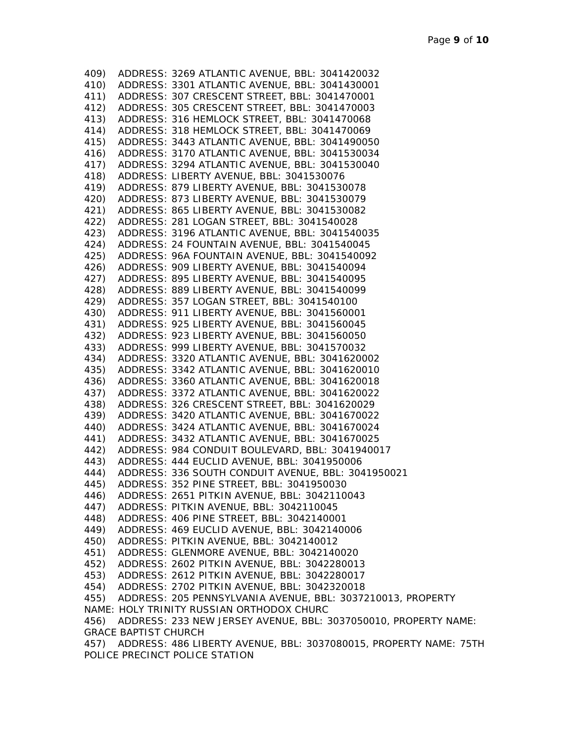409) ADDRESS: 3269 ATLANTIC AVENUE, BBL: 3041420032 410) ADDRESS: 3301 ATLANTIC AVENUE, BBL: 3041430001 411) ADDRESS: 307 CRESCENT STREET, BBL: 3041470001 412) ADDRESS: 305 CRESCENT STREET, BBL: 3041470003 413) ADDRESS: 316 HEMLOCK STREET, BBL: 3041470068 414) ADDRESS: 318 HEMLOCK STREET, BBL: 3041470069 415) ADDRESS: 3443 ATLANTIC AVENUE, BBL: 3041490050 416) ADDRESS: 3170 ATLANTIC AVENUE, BBL: 3041530034 417) ADDRESS: 3294 ATLANTIC AVENUE, BBL: 3041530040 418) ADDRESS: LIBERTY AVENUE, BBL: 3041530076 419) ADDRESS: 879 LIBERTY AVENUE, BBL: 3041530078 420) ADDRESS: 873 LIBERTY AVENUE, BBL: 3041530079 421) ADDRESS: 865 LIBERTY AVENUE, BBL: 3041530082 422) ADDRESS: 281 LOGAN STREET, BBL: 3041540028 423) ADDRESS: 3196 ATLANTIC AVENUE, BBL: 3041540035 424) ADDRESS: 24 FOUNTAIN AVENUE, BBL: 3041540045 425) ADDRESS: 96A FOUNTAIN AVENUE, BBL: 3041540092 426) ADDRESS: 909 LIBERTY AVENUE, BBL: 3041540094 427) ADDRESS: 895 LIBERTY AVENUE, BBL: 3041540095 428) ADDRESS: 889 LIBERTY AVENUE, BBL: 3041540099 429) ADDRESS: 357 LOGAN STREET, BBL: 3041540100 430) ADDRESS: 911 LIBERTY AVENUE, BBL: 3041560001 431) ADDRESS: 925 LIBERTY AVENUE, BBL: 3041560045 432) ADDRESS: 923 LIBERTY AVENUE, BBL: 3041560050 433) ADDRESS: 999 LIBERTY AVENUE, BBL: 3041570032 434) ADDRESS: 3320 ATLANTIC AVENUE, BBL: 3041620002 435) ADDRESS: 3342 ATLANTIC AVENUE, BBL: 3041620010 436) ADDRESS: 3360 ATLANTIC AVENUE, BBL: 3041620018 437) ADDRESS: 3372 ATLANTIC AVENUE, BBL: 3041620022 438) ADDRESS: 326 CRESCENT STREET, BBL: 3041620029 439) ADDRESS: 3420 ATLANTIC AVENUE, BBL: 3041670022 440) ADDRESS: 3424 ATLANTIC AVENUE, BBL: 3041670024 441) ADDRESS: 3432 ATLANTIC AVENUE, BBL: 3041670025 442) ADDRESS: 984 CONDUIT BOULEVARD, BBL: 3041940017 443) ADDRESS: 444 EUCLID AVENUE, BBL: 3041950006 444) ADDRESS: 336 SOUTH CONDUIT AVENUE, BBL: 3041950021 445) ADDRESS: 352 PINE STREET, BBL: 3041950030 446) ADDRESS: 2651 PITKIN AVENUE, BBL: 3042110043 447) ADDRESS: PITKIN AVENUE, BBL: 3042110045 448) ADDRESS: 406 PINE STREET, BBL: 3042140001 449) ADDRESS: 469 EUCLID AVENUE, BBL: 3042140006 450) ADDRESS: PITKIN AVENUE, BBL: 3042140012 451) ADDRESS: GLENMORE AVENUE, BBL: 3042140020 452) ADDRESS: 2602 PITKIN AVENUE, BBL: 3042280013 453) ADDRESS: 2612 PITKIN AVENUE, BBL: 3042280017 454) ADDRESS: 2702 PITKIN AVENUE, BBL: 3042320018 455) ADDRESS: 205 PENNSYLVANIA AVENUE, BBL: 3037210013, PROPERTY NAME: HOLY TRINITY RUSSIAN ORTHODOX CHURC 456) ADDRESS: 233 NEW JERSEY AVENUE, BBL: 3037050010, PROPERTY NAME: GRACE BAPTIST CHURCH 457) ADDRESS: 486 LIBERTY AVENUE, BBL: 3037080015, PROPERTY NAME: 75TH POLICE PRECINCT POLICE STATION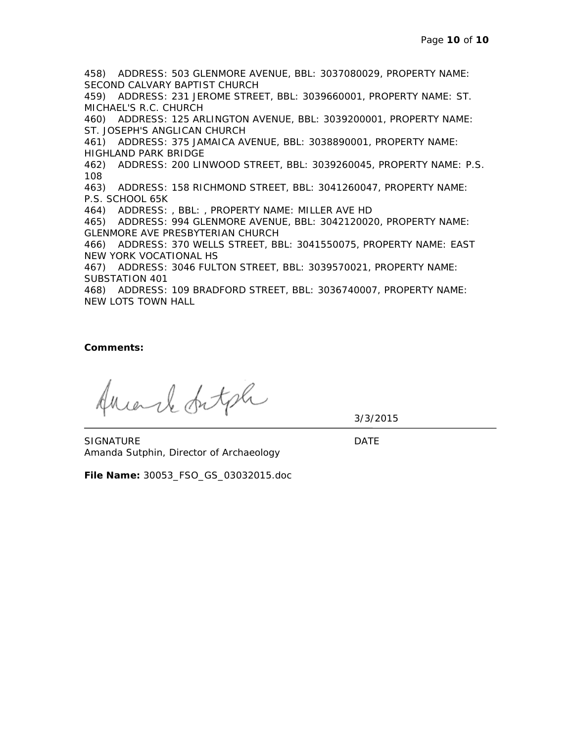458) ADDRESS: 503 GLENMORE AVENUE, BBL: 3037080029, PROPERTY NAME: SECOND CALVARY BAPTIST CHURCH 459) ADDRESS: 231 JEROME STREET, BBL: 3039660001, PROPERTY NAME: ST. MICHAEL'S R.C. CHURCH 460) ADDRESS: 125 ARLINGTON AVENUE, BBL: 3039200001, PROPERTY NAME: ST. JOSEPH'S ANGLICAN CHURCH 461) ADDRESS: 375 JAMAICA AVENUE, BBL: 3038890001, PROPERTY NAME: HIGHLAND PARK BRIDGE 462) ADDRESS: 200 LINWOOD STREET, BBL: 3039260045, PROPERTY NAME: P.S. 108 463) ADDRESS: 158 RICHMOND STREET, BBL: 3041260047, PROPERTY NAME: P.S. SCHOOL 65K 464) ADDRESS: , BBL: , PROPERTY NAME: MILLER AVE HD 465) ADDRESS: 994 GLENMORE AVENUE, BBL: 3042120020, PROPERTY NAME: GLENMORE AVE PRESBYTERIAN CHURCH 466) ADDRESS: 370 WELLS STREET, BBL: 3041550075, PROPERTY NAME: EAST NEW YORK VOCATIONAL HS 467) ADDRESS: 3046 FULTON STREET, BBL: 3039570021, PROPERTY NAME: SUBSTATION 401 468) ADDRESS: 109 BRADFORD STREET, BBL: 3036740007, PROPERTY NAME: NEW LOTS TOWN HALL

**Comments:**

riarle fatale

3/3/2015

SIGNATURE DATE Amanda Sutphin, Director of Archaeology

**File Name:** 30053\_FSO\_GS\_03032015.doc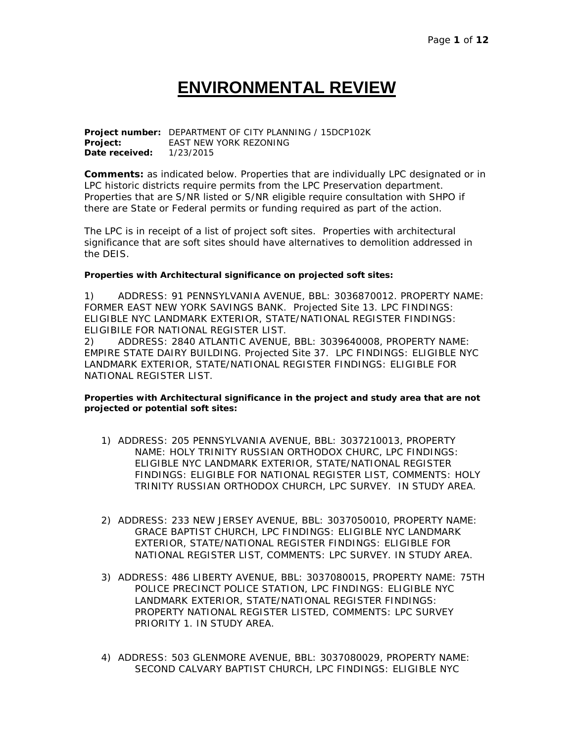## **ENVIRONMENTAL REVIEW**

**Project number:** DEPARTMENT OF CITY PLANNING / 15DCP102K **Project:** EAST NEW YORK REZONING **Date received:** 1/23/2015

**Comments:** as indicated below. Properties that are individually LPC designated or in LPC historic districts require permits from the LPC Preservation department. Properties that are S/NR listed or S/NR eligible require consultation with SHPO if there are State or Federal permits or funding required as part of the action.

The LPC is in receipt of a list of project soft sites. Properties with architectural significance that are soft sites should have alternatives to demolition addressed in the DEIS.

#### **Properties with Architectural significance on projected soft sites:**

1) ADDRESS: 91 PENNSYLVANIA AVENUE, BBL: 3036870012. PROPERTY NAME: FORMER EAST NEW YORK SAVINGS BANK. Projected Site 13. LPC FINDINGS: ELIGIBLE NYC LANDMARK EXTERIOR, STATE/NATIONAL REGISTER FINDINGS: ELIGIBILE FOR NATIONAL REGISTER LIST.

2) ADDRESS: 2840 ATLANTIC AVENUE, BBL: 3039640008, PROPERTY NAME: EMPIRE STATE DAIRY BUILDING. Projected Site 37. LPC FINDINGS: ELIGIBLE NYC LANDMARK EXTERIOR, STATE/NATIONAL REGISTER FINDINGS: ELIGIBLE FOR NATIONAL REGISTER LIST.

#### **Properties with Architectural significance in the project and study area that are not projected or potential soft sites:**

- 1) ADDRESS: 205 PENNSYLVANIA AVENUE, BBL: 3037210013, PROPERTY NAME: HOLY TRINITY RUSSIAN ORTHODOX CHURC, LPC FINDINGS: ELIGIBLE NYC LANDMARK EXTERIOR, STATE/NATIONAL REGISTER FINDINGS: ELIGIBLE FOR NATIONAL REGISTER LIST, COMMENTS: HOLY TRINITY RUSSIAN ORTHODOX CHURCH, LPC SURVEY. IN STUDY AREA.
- 2) ADDRESS: 233 NEW JERSEY AVENUE, BBL: 3037050010, PROPERTY NAME: GRACE BAPTIST CHURCH, LPC FINDINGS: ELIGIBLE NYC LANDMARK EXTERIOR, STATE/NATIONAL REGISTER FINDINGS: ELIGIBLE FOR NATIONAL REGISTER LIST, COMMENTS: LPC SURVEY. IN STUDY AREA.
- 3) ADDRESS: 486 LIBERTY AVENUE, BBL: 3037080015, PROPERTY NAME: 75TH POLICE PRECINCT POLICE STATION, LPC FINDINGS: ELIGIBLE NYC LANDMARK EXTERIOR, STATE/NATIONAL REGISTER FINDINGS: PROPERTY NATIONAL REGISTER LISTED, COMMENTS: LPC SURVEY PRIORITY 1. IN STUDY AREA.
- 4) ADDRESS: 503 GLENMORE AVENUE, BBL: 3037080029, PROPERTY NAME: SECOND CALVARY BAPTIST CHURCH, LPC FINDINGS: ELIGIBLE NYC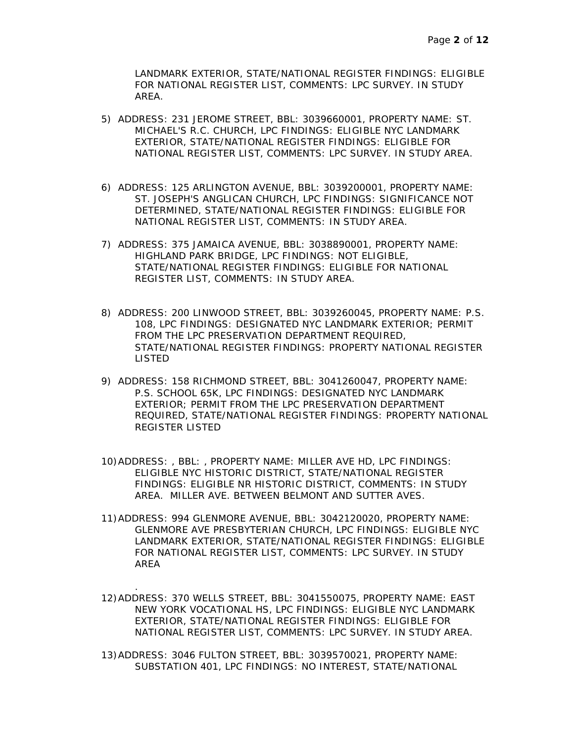LANDMARK EXTERIOR, STATE/NATIONAL REGISTER FINDINGS: ELIGIBLE FOR NATIONAL REGISTER LIST, COMMENTS: LPC SURVEY. IN STUDY AREA.

- 5) ADDRESS: 231 JEROME STREET, BBL: 3039660001, PROPERTY NAME: ST. MICHAEL'S R.C. CHURCH, LPC FINDINGS: ELIGIBLE NYC LANDMARK EXTERIOR, STATE/NATIONAL REGISTER FINDINGS: ELIGIBLE FOR NATIONAL REGISTER LIST, COMMENTS: LPC SURVEY. IN STUDY AREA.
- 6) ADDRESS: 125 ARLINGTON AVENUE, BBL: 3039200001, PROPERTY NAME: ST. JOSEPH'S ANGLICAN CHURCH, LPC FINDINGS: SIGNIFICANCE NOT DETERMINED, STATE/NATIONAL REGISTER FINDINGS: ELIGIBLE FOR NATIONAL REGISTER LIST, COMMENTS: IN STUDY AREA.
- 7) ADDRESS: 375 JAMAICA AVENUE, BBL: 3038890001, PROPERTY NAME: HIGHLAND PARK BRIDGE, LPC FINDINGS: NOT ELIGIBLE, STATE/NATIONAL REGISTER FINDINGS: ELIGIBLE FOR NATIONAL REGISTER LIST, COMMENTS: IN STUDY AREA.
- 8) ADDRESS: 200 LINWOOD STREET, BBL: 3039260045, PROPERTY NAME: P.S. 108, LPC FINDINGS: DESIGNATED NYC LANDMARK EXTERIOR; PERMIT FROM THE LPC PRESERVATION DEPARTMENT REQUIRED, STATE/NATIONAL REGISTER FINDINGS: PROPERTY NATIONAL REGISTER LISTED
- 9) ADDRESS: 158 RICHMOND STREET, BBL: 3041260047, PROPERTY NAME: P.S. SCHOOL 65K, LPC FINDINGS: DESIGNATED NYC LANDMARK EXTERIOR; PERMIT FROM THE LPC PRESERVATION DEPARTMENT REQUIRED, STATE/NATIONAL REGISTER FINDINGS: PROPERTY NATIONAL REGISTER LISTED
- 10)ADDRESS: , BBL: , PROPERTY NAME: MILLER AVE HD, LPC FINDINGS: ELIGIBLE NYC HISTORIC DISTRICT, STATE/NATIONAL REGISTER FINDINGS: ELIGIBLE NR HISTORIC DISTRICT, COMMENTS: IN STUDY AREA. MILLER AVE. BETWEEN BELMONT AND SUTTER AVES.
- 11)ADDRESS: 994 GLENMORE AVENUE, BBL: 3042120020, PROPERTY NAME: GLENMORE AVE PRESBYTERIAN CHURCH, LPC FINDINGS: ELIGIBLE NYC LANDMARK EXTERIOR, STATE/NATIONAL REGISTER FINDINGS: ELIGIBLE FOR NATIONAL REGISTER LIST, COMMENTS: LPC SURVEY. IN STUDY AREA
- 12)ADDRESS: 370 WELLS STREET, BBL: 3041550075, PROPERTY NAME: EAST NEW YORK VOCATIONAL HS, LPC FINDINGS: ELIGIBLE NYC LANDMARK EXTERIOR, STATE/NATIONAL REGISTER FINDINGS: ELIGIBLE FOR NATIONAL REGISTER LIST, COMMENTS: LPC SURVEY. IN STUDY AREA.

.

13)ADDRESS: 3046 FULTON STREET, BBL: 3039570021, PROPERTY NAME: SUBSTATION 401, LPC FINDINGS: NO INTEREST, STATE/NATIONAL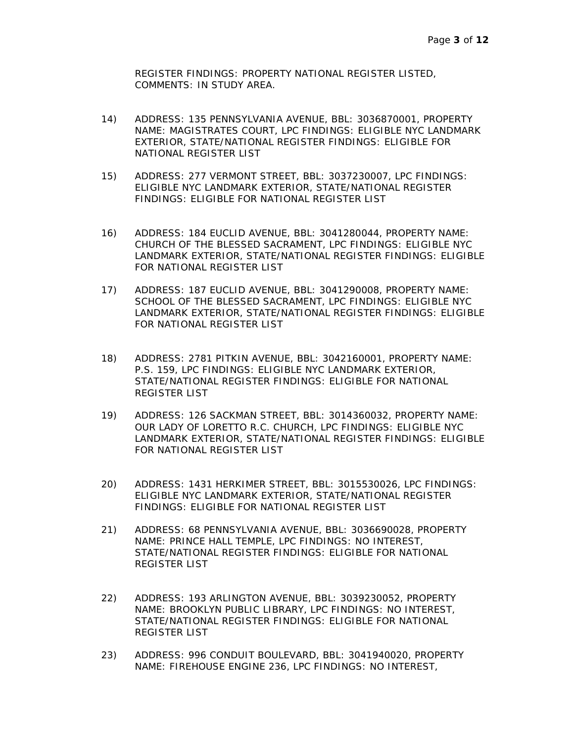REGISTER FINDINGS: PROPERTY NATIONAL REGISTER LISTED, COMMENTS: IN STUDY AREA.

- 14) ADDRESS: 135 PENNSYLVANIA AVENUE, BBL: 3036870001, PROPERTY NAME: MAGISTRATES COURT, LPC FINDINGS: ELIGIBLE NYC LANDMARK EXTERIOR, STATE/NATIONAL REGISTER FINDINGS: ELIGIBLE FOR NATIONAL REGISTER LIST
- 15) ADDRESS: 277 VERMONT STREET, BBL: 3037230007, LPC FINDINGS: ELIGIBLE NYC LANDMARK EXTERIOR, STATE/NATIONAL REGISTER FINDINGS: ELIGIBLE FOR NATIONAL REGISTER LIST
- 16) ADDRESS: 184 EUCLID AVENUE, BBL: 3041280044, PROPERTY NAME: CHURCH OF THE BLESSED SACRAMENT, LPC FINDINGS: ELIGIBLE NYC LANDMARK EXTERIOR, STATE/NATIONAL REGISTER FINDINGS: ELIGIBLE FOR NATIONAL REGISTER LIST
- 17) ADDRESS: 187 EUCLID AVENUE, BBL: 3041290008, PROPERTY NAME: SCHOOL OF THE BLESSED SACRAMENT, LPC FINDINGS: ELIGIBLE NYC LANDMARK EXTERIOR, STATE/NATIONAL REGISTER FINDINGS: ELIGIBLE FOR NATIONAL REGISTER LIST
- 18) ADDRESS: 2781 PITKIN AVENUE, BBL: 3042160001, PROPERTY NAME: P.S. 159, LPC FINDINGS: ELIGIBLE NYC LANDMARK EXTERIOR, STATE/NATIONAL REGISTER FINDINGS: ELIGIBLE FOR NATIONAL REGISTER LIST
- 19) ADDRESS: 126 SACKMAN STREET, BBL: 3014360032, PROPERTY NAME: OUR LADY OF LORETTO R.C. CHURCH, LPC FINDINGS: ELIGIBLE NYC LANDMARK EXTERIOR, STATE/NATIONAL REGISTER FINDINGS: ELIGIBLE FOR NATIONAL REGISTER LIST
- 20) ADDRESS: 1431 HERKIMER STREET, BBL: 3015530026, LPC FINDINGS: ELIGIBLE NYC LANDMARK EXTERIOR, STATE/NATIONAL REGISTER FINDINGS: ELIGIBLE FOR NATIONAL REGISTER LIST
- 21) ADDRESS: 68 PENNSYLVANIA AVENUE, BBL: 3036690028, PROPERTY NAME: PRINCE HALL TEMPLE, LPC FINDINGS: NO INTEREST, STATE/NATIONAL REGISTER FINDINGS: ELIGIBLE FOR NATIONAL REGISTER LIST
- 22) ADDRESS: 193 ARLINGTON AVENUE, BBL: 3039230052, PROPERTY NAME: BROOKLYN PUBLIC LIBRARY, LPC FINDINGS: NO INTEREST, STATE/NATIONAL REGISTER FINDINGS: ELIGIBLE FOR NATIONAL REGISTER LIST
- 23) ADDRESS: 996 CONDUIT BOULEVARD, BBL: 3041940020, PROPERTY NAME: FIREHOUSE ENGINE 236, LPC FINDINGS: NO INTEREST,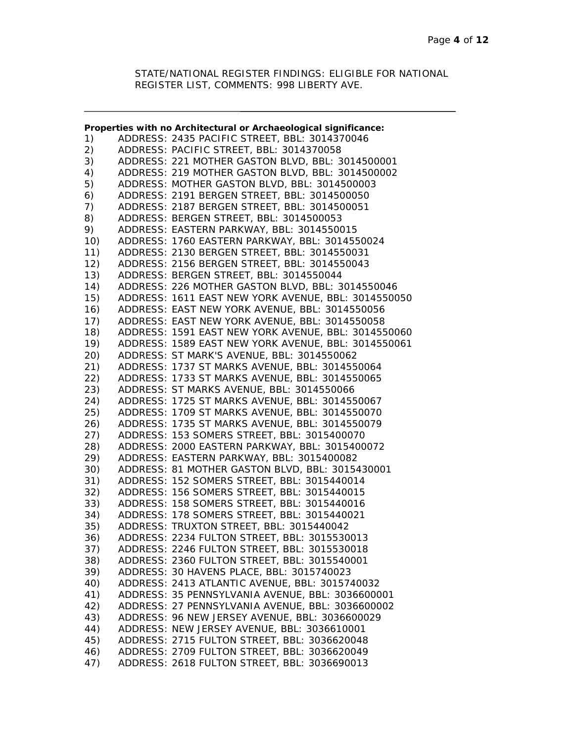STATE/NATIONAL REGISTER FINDINGS: ELIGIBLE FOR NATIONAL REGISTER LIST, COMMENTS: 998 LIBERTY AVE.

|     | Properties with no Architectural or Archaeological significance: |
|-----|------------------------------------------------------------------|
| 1)  | ADDRESS: 2435 PACIFIC STREET, BBL: 3014370046                    |
| 2)  | ADDRESS: PACIFIC STREET, BBL: 3014370058                         |
| 3)  | ADDRESS: 221 MOTHER GASTON BLVD, BBL: 3014500001                 |
| 4)  | ADDRESS: 219 MOTHER GASTON BLVD, BBL: 3014500002                 |
| 5)  | ADDRESS: MOTHER GASTON BLVD, BBL: 3014500003                     |
| 6)  | ADDRESS: 2191 BERGEN STREET, BBL: 3014500050                     |
| 7)  | ADDRESS: 2187 BERGEN STREET, BBL: 3014500051                     |
| 8)  | ADDRESS: BERGEN STREET, BBL: 3014500053                          |
| 9)  | ADDRESS: EASTERN PARKWAY, BBL: 3014550015                        |
| 10) | ADDRESS: 1760 EASTERN PARKWAY, BBL: 3014550024                   |
| 11) | ADDRESS: 2130 BERGEN STREET, BBL: 3014550031                     |
| 12) | ADDRESS: 2156 BERGEN STREET, BBL: 3014550043                     |
| 13) | ADDRESS: BERGEN STREET, BBL: 3014550044                          |
| 14) | ADDRESS: 226 MOTHER GASTON BLVD, BBL: 3014550046                 |
|     |                                                                  |
| 15) | ADDRESS: 1611 EAST NEW YORK AVENUE, BBL: 3014550050              |
| 16) | ADDRESS: EAST NEW YORK AVENUE, BBL: 3014550056                   |
| 17) | ADDRESS: EAST NEW YORK AVENUE, BBL: 3014550058                   |
| 18) | ADDRESS: 1591 EAST NEW YORK AVENUE, BBL: 3014550060              |
| 19) | ADDRESS: 1589 EAST NEW YORK AVENUE, BBL: 3014550061              |
| 20) | ADDRESS: ST MARK'S AVENUE, BBL: 3014550062                       |
| 21) | ADDRESS: 1737 ST MARKS AVENUE, BBL: 3014550064                   |
| 22) | ADDRESS: 1733 ST MARKS AVENUE, BBL: 3014550065                   |
| 23) | ADDRESS: ST MARKS AVENUE, BBL: 3014550066                        |
| 24) | ADDRESS: 1725 ST MARKS AVENUE, BBL: 3014550067                   |
| 25) | ADDRESS: 1709 ST MARKS AVENUE, BBL: 3014550070                   |
| 26) | ADDRESS: 1735 ST MARKS AVENUE, BBL: 3014550079                   |
| 27) | ADDRESS: 153 SOMERS STREET, BBL: 3015400070                      |
| 28) | ADDRESS: 2000 EASTERN PARKWAY, BBL: 3015400072                   |
| 29) | ADDRESS: EASTERN PARKWAY, BBL: 3015400082                        |
| 30) | ADDRESS: 81 MOTHER GASTON BLVD, BBL: 3015430001                  |
| 31) | ADDRESS: 152 SOMERS STREET, BBL: 3015440014                      |
| 32) | ADDRESS: 156 SOMERS STREET, BBL: 3015440015                      |
| 33) | ADDRESS: 158 SOMERS STREET, BBL: 3015440016                      |
| 34) | ADDRESS: 178 SOMERS STREET, BBL: 3015440021                      |
| 35) | ADDRESS: TRUXTON STREET, BBL: 3015440042                         |
| 36) | ADDRESS: 2234 FULTON STREET, BBL: 3015530013                     |
| 37) | ADDRESS: 2246 FULTON STREET, BBL: 3015530018                     |
| 38) | ADDRESS: 2360 FULTON STREET, BBL: 3015540001                     |
| 39) | ADDRESS: 30 HAVENS PLACE, BBL: 3015740023                        |
| 40) | ADDRESS: 2413 ATLANTIC AVENUE, BBL: 3015740032                   |
| 41) | ADDRESS: 35 PENNSYLVANIA AVENUE, BBL: 3036600001                 |
| 42) | ADDRESS: 27 PENNSYLVANIA AVENUE, BBL: 3036600002                 |
| 43) | ADDRESS: 96 NEW JERSEY AVENUE, BBL: 3036600029                   |
| 44) | ADDRESS: NEW JERSEY AVENUE, BBL: 3036610001                      |
| 45) | ADDRESS: 2715 FULTON STREET, BBL: 3036620048                     |
| 46) | ADDRESS: 2709 FULTON STREET, BBL: 3036620049                     |
|     |                                                                  |
| 47) | ADDRESS: 2618 FULTON STREET, BBL: 3036690013                     |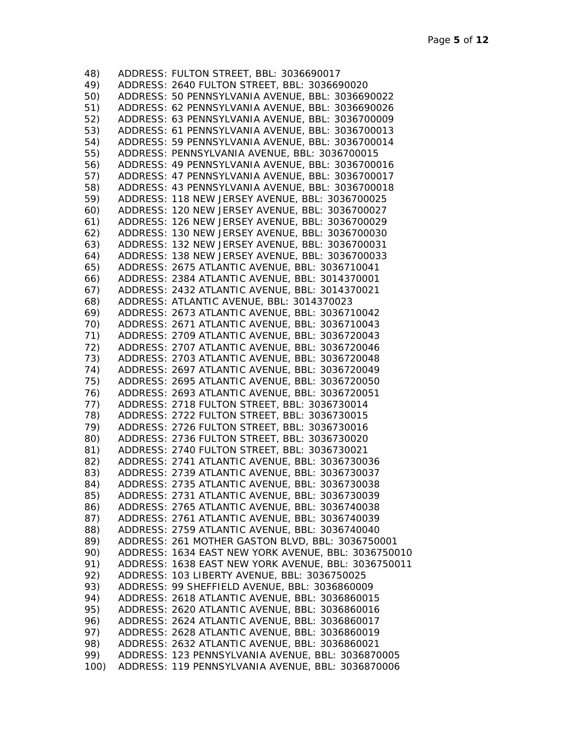| 48)  | ADDRESS: FULTON STREET, BBL: 3036690017             |
|------|-----------------------------------------------------|
| 49)  | ADDRESS: 2640 FULTON STREET, BBL: 3036690020        |
| 50)  | ADDRESS: 50 PENNSYLVANIA AVENUE, BBL: 3036690022    |
| 51)  | ADDRESS: 62 PENNSYLVANIA AVENUE, BBL: 3036690026    |
| 52)  | ADDRESS: 63 PENNSYLVANIA AVENUE, BBL: 3036700009    |
| 53)  | ADDRESS: 61 PENNSYLVANIA AVENUE, BBL: 3036700013    |
| 54)  | ADDRESS: 59 PENNSYLVANIA AVENUE, BBL: 3036700014    |
| 55)  | ADDRESS: PENNSYLVANIA AVENUE, BBL: 3036700015       |
| 56)  | ADDRESS: 49 PENNSYLVANIA AVENUE, BBL: 3036700016    |
| 57)  | ADDRESS: 47 PENNSYLVANIA AVENUE, BBL: 3036700017    |
| 58)  | ADDRESS: 43 PENNSYLVANIA AVENUE, BBL: 3036700018    |
| 59)  | ADDRESS: 118 NEW JERSEY AVENUE, BBL: 3036700025     |
| 60)  | ADDRESS: 120 NEW JERSEY AVENUE, BBL: 3036700027     |
| 61)  | ADDRESS: 126 NEW JERSEY AVENUE, BBL: 3036700029     |
|      |                                                     |
| 62)  | ADDRESS: 130 NEW JERSEY AVENUE, BBL: 3036700030     |
| 63)  | ADDRESS: 132 NEW JERSEY AVENUE, BBL: 3036700031     |
| 64)  | ADDRESS: 138 NEW JERSEY AVENUE, BBL: 3036700033     |
| 65)  | ADDRESS: 2675 ATLANTIC AVENUE, BBL: 3036710041      |
| 66)  | ADDRESS: 2384 ATLANTIC AVENUE, BBL: 3014370001      |
| 67)  | ADDRESS: 2432 ATLANTIC AVENUE, BBL: 3014370021      |
| 68)  | ADDRESS: ATLANTIC AVENUE, BBL: 3014370023           |
| 69)  | ADDRESS: 2673 ATLANTIC AVENUE, BBL: 3036710042      |
| 70)  | ADDRESS: 2671 ATLANTIC AVENUE, BBL: 3036710043      |
| 71)  | ADDRESS: 2709 ATLANTIC AVENUE, BBL: 3036720043      |
| 72)  | ADDRESS: 2707 ATLANTIC AVENUE, BBL: 3036720046      |
| 73)  | ADDRESS: 2703 ATLANTIC AVENUE, BBL: 3036720048      |
| 74)  | ADDRESS: 2697 ATLANTIC AVENUE, BBL: 3036720049      |
| 75)  | ADDRESS: 2695 ATLANTIC AVENUE, BBL: 3036720050      |
| 76)  | ADDRESS: 2693 ATLANTIC AVENUE, BBL: 3036720051      |
| 77)  | ADDRESS: 2718 FULTON STREET, BBL: 3036730014        |
| 78)  | ADDRESS: 2722 FULTON STREET, BBL: 3036730015        |
| 79)  | ADDRESS: 2726 FULTON STREET, BBL: 3036730016        |
| 80)  | ADDRESS: 2736 FULTON STREET, BBL: 3036730020        |
| 81)  | ADDRESS: 2740 FULTON STREET, BBL: 3036730021        |
| 82)  | ADDRESS: 2741 ATLANTIC AVENUE, BBL: 3036730036      |
| 83)  | ADDRESS: 2739 ATLANTIC AVENUE, BBL: 3036730037      |
| 84)  | ADDRESS: 2735 ATLANTIC AVENUE, BBL: 3036730038      |
| 85)  | ADDRESS: 2731 ATLANTIC AVENUE, BBL: 3036730039      |
| 86)  | ADDRESS: 2765 ATLANTIC AVENUE, BBL: 3036740038      |
| 87)  | ADDRESS: 2761 ATLANTIC AVENUE, BBL: 3036740039      |
| 88)  | ADDRESS: 2759 ATLANTIC AVENUE, BBL: 3036740040      |
| 89)  | ADDRESS: 261 MOTHER GASTON BLVD, BBL: 3036750001    |
| 90)  | ADDRESS: 1634 EAST NEW YORK AVENUE, BBL: 3036750010 |
| 91)  | ADDRESS: 1638 EAST NEW YORK AVENUE, BBL: 3036750011 |
| 92)  | ADDRESS: 103 LIBERTY AVENUE, BBL: 3036750025        |
| 93)  | ADDRESS: 99 SHEFFIELD AVENUE, BBL: 3036860009       |
| 94)  | ADDRESS: 2618 ATLANTIC AVENUE, BBL: 3036860015      |
| 95)  | ADDRESS: 2620 ATLANTIC AVENUE, BBL: 3036860016      |
| 96)  | ADDRESS: 2624 ATLANTIC AVENUE, BBL: 3036860017      |
| 97)  | ADDRESS: 2628 ATLANTIC AVENUE, BBL: 3036860019      |
| 98)  | ADDRESS: 2632 ATLANTIC AVENUE, BBL: 3036860021      |
| 99)  | ADDRESS: 123 PENNSYLVANIA AVENUE, BBL: 3036870005   |
| 100) | ADDRESS: 119 PENNSYLVANIA AVENUE, BBL: 3036870006   |
|      |                                                     |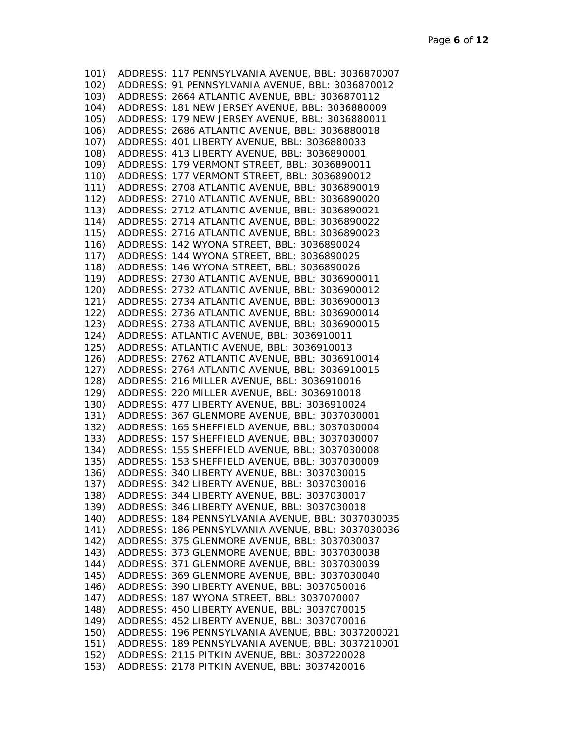| 101) | ADDRESS: 117 PENNSYLVANIA AVENUE, BBL: 3036870007     |
|------|-------------------------------------------------------|
|      | 102) ADDRESS: 91 PENNSYLVANIA AVENUE, BBL: 3036870012 |
|      | 103) ADDRESS: 2664 ATLANTIC AVENUE, BBL: 3036870112   |
| 104) | ADDRESS: 181 NEW JERSEY AVENUE, BBL: 3036880009       |
| 105) | ADDRESS: 179 NEW JERSEY AVENUE, BBL: 3036880011       |
| 106) | ADDRESS: 2686 ATLANTIC AVENUE, BBL: 3036880018        |
| 107) | ADDRESS: 401 LIBERTY AVENUE, BBL: 3036880033          |
| 108) | ADDRESS: 413 LIBERTY AVENUE, BBL: 3036890001          |
| 109) | ADDRESS: 179 VERMONT STREET, BBL: 3036890011          |
| 110) | ADDRESS: 177 VERMONT STREET, BBL: 3036890012          |
| 111) | ADDRESS: 2708 ATLANTIC AVENUE, BBL: 3036890019        |
| 112) | ADDRESS: 2710 ATLANTIC AVENUE, BBL: 3036890020        |
| 113) | ADDRESS: 2712 ATLANTIC AVENUE, BBL: 3036890021        |
| 114) | ADDRESS: 2714 ATLANTIC AVENUE, BBL: 3036890022        |
|      |                                                       |
| 115) | ADDRESS: 2716 ATLANTIC AVENUE, BBL: 3036890023        |
| 116) | ADDRESS: 142 WYONA STREET, BBL: 3036890024            |
| 117) | ADDRESS: 144 WYONA STREET, BBL: 3036890025            |
| 118) | ADDRESS: 146 WYONA STREET, BBL: 3036890026            |
| 119) | ADDRESS: 2730 ATLANTIC AVENUE, BBL: 3036900011        |
| 120) | ADDRESS: 2732 ATLANTIC AVENUE, BBL: 3036900012        |
| 121) | ADDRESS: 2734 ATLANTIC AVENUE, BBL: 3036900013        |
| 122) | ADDRESS: 2736 ATLANTIC AVENUE, BBL: 3036900014        |
| 123) | ADDRESS: 2738 ATLANTIC AVENUE, BBL: 3036900015        |
| 124) | ADDRESS: ATLANTIC AVENUE, BBL: 3036910011             |
|      | 125) ADDRESS: ATLANTIC AVENUE, BBL: 3036910013        |
|      | 126) ADDRESS: 2762 ATLANTIC AVENUE, BBL: 3036910014   |
|      | 127) ADDRESS: 2764 ATLANTIC AVENUE, BBL: 3036910015   |
|      | 128) ADDRESS: 216 MILLER AVENUE, BBL: 3036910016      |
|      | 129) ADDRESS: 220 MILLER AVENUE, BBL: 3036910018      |
|      | 130) ADDRESS: 477 LIBERTY AVENUE, BBL: 3036910024     |
|      | 131) ADDRESS: 367 GLENMORE AVENUE, BBL: 3037030001    |
|      | 132) ADDRESS: 165 SHEFFIELD AVENUE, BBL: 3037030004   |
|      | 133) ADDRESS: 157 SHEFFIELD AVENUE, BBL: 3037030007   |
|      | 134) ADDRESS: 155 SHEFFIELD AVENUE, BBL: 3037030008   |
|      | 135) ADDRESS: 153 SHEFFIELD AVENUE, BBL: 3037030009   |
|      | 136) ADDRESS: 340 LIBERTY AVENUE, BBL: 3037030015     |
| 137) | ADDRESS: 342 LIBERTY AVENUE, BBL: 3037030016          |
| 138) | ADDRESS: 344 LIBERTY AVENUE, BBL: 3037030017          |
| 139) | ADDRESS: 346 LIBERTY AVENUE, BBL: 3037030018          |
| 140) | ADDRESS: 184 PENNSYLVANIA AVENUE, BBL: 3037030035     |
| 141) | ADDRESS: 186 PENNSYLVANIA AVENUE, BBL: 3037030036     |
| 142) | ADDRESS: 375 GLENMORE AVENUE, BBL: 3037030037         |
| 143) | ADDRESS: 373 GLENMORE AVENUE, BBL: 3037030038         |
| 144) | ADDRESS: 371 GLENMORE AVENUE, BBL: 3037030039         |
|      | ADDRESS: 369 GLENMORE AVENUE, BBL: 3037030040         |
| 145) |                                                       |
| 146) | ADDRESS: 390 LIBERTY AVENUE, BBL: 3037050016          |
| 147) | ADDRESS: 187 WYONA STREET, BBL: 3037070007            |
| 148) | ADDRESS: 450 LIBERTY AVENUE, BBL: 3037070015          |
| 149) | ADDRESS: 452 LIBERTY AVENUE, BBL: 3037070016          |
| 150) | ADDRESS: 196 PENNSYLVANIA AVENUE, BBL: 3037200021     |
| 151) | ADDRESS: 189 PENNSYLVANIA AVENUE, BBL: 3037210001     |
| 152) | ADDRESS: 2115 PITKIN AVENUE, BBL: 3037220028          |
| 153) | ADDRESS: 2178 PITKIN AVENUE, BBL: 3037420016          |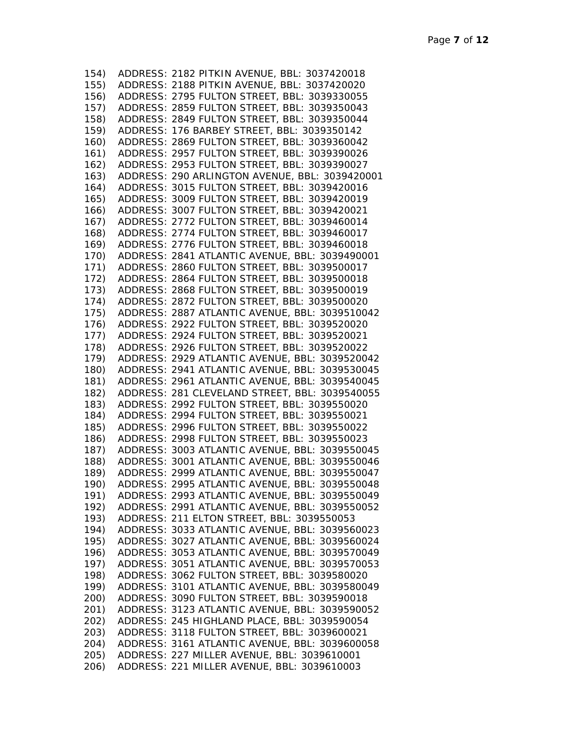| 154) | ADDRESS: 2182 PITKIN AVENUE, BBL: 3037420018        |
|------|-----------------------------------------------------|
| 155) | ADDRESS: 2188 PITKIN AVENUE, BBL: 3037420020        |
| 156) | ADDRESS: 2795 FULTON STREET, BBL: 3039330055        |
| 157) | ADDRESS: 2859 FULTON STREET, BBL: 3039350043        |
| 158) | ADDRESS: 2849 FULTON STREET, BBL: 3039350044        |
| 159) | ADDRESS: 176 BARBEY STREET, BBL: 3039350142         |
| 160) | ADDRESS: 2869 FULTON STREET, BBL: 3039360042        |
| 161) | ADDRESS: 2957 FULTON STREET, BBL: 3039390026        |
| 162) | ADDRESS: 2953 FULTON STREET, BBL: 3039390027        |
| 163) | ADDRESS: 290 ARLINGTON AVENUE, BBL: 3039420001      |
| 164) | ADDRESS: 3015 FULTON STREET, BBL: 3039420016        |
| 165) | ADDRESS: 3009 FULTON STREET, BBL: 3039420019        |
| 166) | ADDRESS: 3007 FULTON STREET, BBL: 3039420021        |
| 167) | ADDRESS: 2772 FULTON STREET, BBL: 3039460014        |
| 168) | ADDRESS: 2774 FULTON STREET, BBL: 3039460017        |
| 169) | ADDRESS: 2776 FULTON STREET, BBL: 3039460018        |
| 170) | ADDRESS: 2841 ATLANTIC AVENUE, BBL: 3039490001      |
|      | ADDRESS: 2860 FULTON STREET, BBL: 3039500017        |
| 171) |                                                     |
| 172) | ADDRESS: 2864 FULTON STREET, BBL: 3039500018        |
| 173) | ADDRESS: 2868 FULTON STREET, BBL: 3039500019        |
| 174) | ADDRESS: 2872 FULTON STREET, BBL: 3039500020        |
| 175) | ADDRESS: 2887 ATLANTIC AVENUE, BBL: 3039510042      |
| 176) | ADDRESS: 2922 FULTON STREET, BBL: 3039520020        |
| 177) | ADDRESS: 2924 FULTON STREET, BBL: 3039520021        |
| 178) | ADDRESS: 2926 FULTON STREET, BBL: 3039520022        |
| 179) | ADDRESS: 2929 ATLANTIC AVENUE, BBL: 3039520042      |
| 180) | ADDRESS: 2941 ATLANTIC AVENUE, BBL: 3039530045      |
| 181) | ADDRESS: 2961 ATLANTIC AVENUE, BBL: 3039540045      |
| 182) | ADDRESS: 281 CLEVELAND STREET, BBL: 3039540055      |
| 183) | ADDRESS: 2992 FULTON STREET, BBL: 3039550020        |
| 184) | ADDRESS: 2994 FULTON STREET, BBL: 3039550021        |
| 185) | ADDRESS: 2996 FULTON STREET, BBL: 3039550022        |
| 186) | ADDRESS: 2998 FULTON STREET, BBL: 3039550023        |
|      | 187) ADDRESS: 3003 ATLANTIC AVENUE, BBL: 3039550045 |
|      | 188) ADDRESS: 3001 ATLANTIC AVENUE, BBL: 3039550046 |
|      | 189) ADDRESS: 2999 ATLANTIC AVENUE, BBL: 3039550047 |
|      | 190) ADDRESS: 2995 ATLANTIC AVENUE, BBL: 3039550048 |
| 191) | ADDRESS: 2993 ATLANTIC AVENUE, BBL: 3039550049      |
| 192) | ADDRESS: 2991 ATLANTIC AVENUE, BBL: 3039550052      |
| 193) | ADDRESS: 211 ELTON STREET, BBL: 3039550053          |
| 194) | ADDRESS: 3033 ATLANTIC AVENUE, BBL: 3039560023      |
| 195) | ADDRESS: 3027 ATLANTIC AVENUE, BBL: 3039560024      |
| 196) | ADDRESS: 3053 ATLANTIC AVENUE, BBL: 3039570049      |
| 197) | ADDRESS: 3051 ATLANTIC AVENUE, BBL: 3039570053      |
| 198) | ADDRESS: 3062 FULTON STREET, BBL: 3039580020        |
| 199) | ADDRESS: 3101 ATLANTIC AVENUE, BBL: 3039580049      |
| 200) | ADDRESS: 3090 FULTON STREET, BBL: 3039590018        |
| 201) | ADDRESS: 3123 ATLANTIC AVENUE, BBL: 3039590052      |
| 202) | ADDRESS: 245 HIGHLAND PLACE, BBL: 3039590054        |
| 203) | ADDRESS: 3118 FULTON STREET, BBL: 3039600021        |
| 204) | ADDRESS: 3161 ATLANTIC AVENUE, BBL: 3039600058      |
| 205) | ADDRESS: 227 MILLER AVENUE, BBL: 3039610001         |
| 206) | ADDRESS: 221 MILLER AVENUE, BBL: 3039610003         |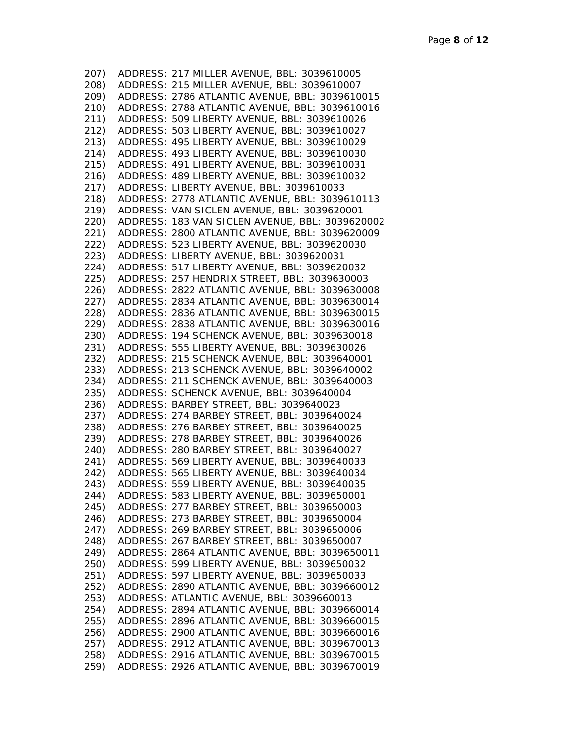207) ADDRESS: 217 MILLER AVENUE, BBL: 3039610005 208) ADDRESS: 215 MILLER AVENUE, BBL: 3039610007 209) ADDRESS: 2786 ATLANTIC AVENUE, BBL: 3039610015 210) ADDRESS: 2788 ATLANTIC AVENUE, BBL: 3039610016 211) ADDRESS: 509 LIBERTY AVENUE, BBL: 3039610026 212) ADDRESS: 503 LIBERTY AVENUE, BBL: 3039610027 213) ADDRESS: 495 LIBERTY AVENUE, BBL: 3039610029 214) ADDRESS: 493 LIBERTY AVENUE, BBL: 3039610030 215) ADDRESS: 491 LIBERTY AVENUE, BBL: 3039610031 216) ADDRESS: 489 LIBERTY AVENUE, BBL: 3039610032 217) ADDRESS: LIBERTY AVENUE, BBL: 3039610033 218) ADDRESS: 2778 ATLANTIC AVENUE, BBL: 3039610113 219) ADDRESS: VAN SICLEN AVENUE, BBL: 3039620001 220) ADDRESS: 183 VAN SICLEN AVENUE, BBL: 3039620002 221) ADDRESS: 2800 ATLANTIC AVENUE, BBL: 3039620009 222) ADDRESS: 523 LIBERTY AVENUE, BBL: 3039620030 223) ADDRESS: LIBERTY AVENUE, BBL: 3039620031 224) ADDRESS: 517 LIBERTY AVENUE, BBL: 3039620032 225) ADDRESS: 257 HENDRIX STREET, BBL: 3039630003 226) ADDRESS: 2822 ATLANTIC AVENUE, BBL: 3039630008 227) ADDRESS: 2834 ATLANTIC AVENUE, BBL: 3039630014 228) ADDRESS: 2836 ATLANTIC AVENUE, BBL: 3039630015 229) ADDRESS: 2838 ATLANTIC AVENUE, BBL: 3039630016 230) ADDRESS: 194 SCHENCK AVENUE, BBL: 3039630018 231) ADDRESS: 555 LIBERTY AVENUE, BBL: 3039630026 232) ADDRESS: 215 SCHENCK AVENUE, BBL: 3039640001 233) ADDRESS: 213 SCHENCK AVENUE, BBL: 3039640002 234) ADDRESS: 211 SCHENCK AVENUE, BBL: 3039640003 235) ADDRESS: SCHENCK AVENUE, BBL: 3039640004 236) ADDRESS: BARBEY STREET, BBL: 3039640023 237) ADDRESS: 274 BARBEY STREET, BBL: 3039640024 238) ADDRESS: 276 BARBEY STREET, BBL: 3039640025 239) ADDRESS: 278 BARBEY STREET, BBL: 3039640026 240) ADDRESS: 280 BARBEY STREET, BBL: 3039640027 241) ADDRESS: 569 LIBERTY AVENUE, BBL: 3039640033 242) ADDRESS: 565 LIBERTY AVENUE, BBL: 3039640034 243) ADDRESS: 559 LIBERTY AVENUE, BBL: 3039640035 244) ADDRESS: 583 LIBERTY AVENUE, BBL: 3039650001 245) ADDRESS: 277 BARBEY STREET, BBL: 3039650003 246) ADDRESS: 273 BARBEY STREET, BBL: 3039650004 247) ADDRESS: 269 BARBEY STREET, BBL: 3039650006 248) ADDRESS: 267 BARBEY STREET, BBL: 3039650007 249) ADDRESS: 2864 ATLANTIC AVENUE, BBL: 3039650011 250) ADDRESS: 599 LIBERTY AVENUE, BBL: 3039650032 251) ADDRESS: 597 LIBERTY AVENUE, BBL: 3039650033 252) ADDRESS: 2890 ATLANTIC AVENUE, BBL: 3039660012 253) ADDRESS: ATLANTIC AVENUE, BBL: 3039660013 254) ADDRESS: 2894 ATLANTIC AVENUE, BBL: 3039660014 255) ADDRESS: 2896 ATLANTIC AVENUE, BBL: 3039660015 256) ADDRESS: 2900 ATLANTIC AVENUE, BBL: 3039660016 257) ADDRESS: 2912 ATLANTIC AVENUE, BBL: 3039670013 258) ADDRESS: 2916 ATLANTIC AVENUE, BBL: 3039670015 259) ADDRESS: 2926 ATLANTIC AVENUE, BBL: 3039670019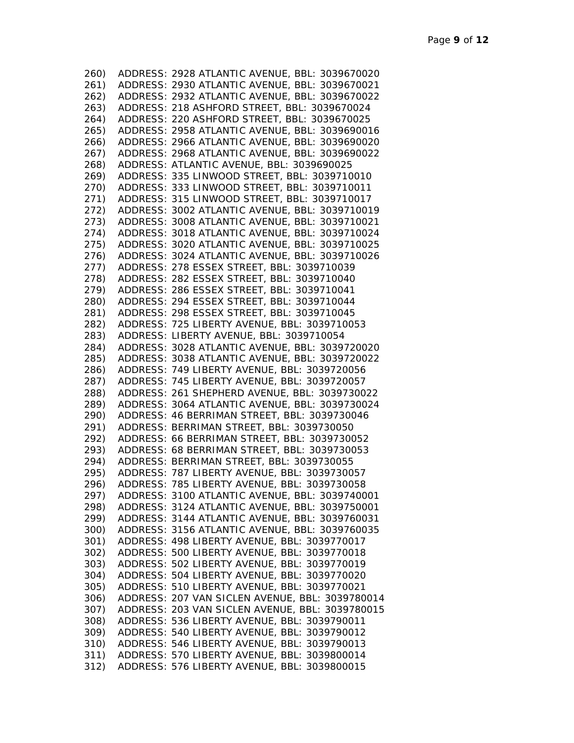| 260)         | ADDRESS: 2928 ATLANTIC AVENUE, BBL: 3039670020                                                  |
|--------------|-------------------------------------------------------------------------------------------------|
| 261)         | ADDRESS: 2930 ATLANTIC AVENUE, BBL: 3039670021                                                  |
| 262)         | ADDRESS: 2932 ATLANTIC AVENUE, BBL: 3039670022                                                  |
| 263)         | ADDRESS: 218 ASHFORD STREET, BBL: 3039670024                                                    |
| 264)         | ADDRESS: 220 ASHFORD STREET, BBL: 3039670025                                                    |
| 265)         | ADDRESS: 2958 ATLANTIC AVENUE, BBL: 3039690016                                                  |
| 266)         | ADDRESS: 2966 ATLANTIC AVENUE, BBL: 3039690020                                                  |
| 267)         | ADDRESS: 2968 ATLANTIC AVENUE, BBL: 3039690022                                                  |
| 268)         | ADDRESS: ATLANTIC AVENUE, BBL: 3039690025                                                       |
| 269)         | ADDRESS: 335 LINWOOD STREET, BBL: 3039710010                                                    |
| 270)         | ADDRESS: 333 LINWOOD STREET, BBL: 3039710011                                                    |
| 271)         | ADDRESS: 315 LINWOOD STREET, BBL: 3039710017                                                    |
| 272)         | ADDRESS: 3002 ATLANTIC AVENUE, BBL: 3039710019                                                  |
| 273)         | ADDRESS: 3008 ATLANTIC AVENUE, BBL: 3039710021                                                  |
| 274)         | ADDRESS: 3018 ATLANTIC AVENUE, BBL: 3039710024                                                  |
| 275)         | ADDRESS: 3020 ATLANTIC AVENUE, BBL: 3039710025                                                  |
| 276)         | ADDRESS: 3024 ATLANTIC AVENUE, BBL: 3039710026                                                  |
| 277)         | ADDRESS: 278 ESSEX STREET, BBL: 3039710039                                                      |
| 278)         | ADDRESS: 282 ESSEX STREET, BBL: 3039710040                                                      |
| 279)         | ADDRESS: 286 ESSEX STREET, BBL: 3039710041                                                      |
| 280)         | ADDRESS: 294 ESSEX STREET, BBL: 3039710044                                                      |
| 281)         | ADDRESS: 298 ESSEX STREET, BBL: 3039710045                                                      |
| 282)         | ADDRESS: 725 LIBERTY AVENUE, BBL: 3039710053                                                    |
| 283)         | ADDRESS: LIBERTY AVENUE, BBL: 3039710054                                                        |
| 284)         | ADDRESS: 3028 ATLANTIC AVENUE, BBL: 3039720020                                                  |
| 285)         | ADDRESS: 3038 ATLANTIC AVENUE, BBL: 3039720022                                                  |
| 286)         | ADDRESS: 749 LIBERTY AVENUE, BBL: 3039720056                                                    |
| 287)         | ADDRESS: 745 LIBERTY AVENUE, BBL: 3039720057                                                    |
| 288)         | ADDRESS: 261 SHEPHERD AVENUE, BBL: 3039730022                                                   |
| 289)         | ADDRESS: 3064 ATLANTIC AVENUE, BBL: 3039730024                                                  |
| 290)         | ADDRESS: 46 BERRIMAN STREET, BBL: 3039730046                                                    |
| 291)         | ADDRESS: BERRIMAN STREET, BBL: 3039730050                                                       |
|              | 292) ADDRESS: 66 BERRIMAN STREET, BBL: 3039730052                                               |
|              | 293) ADDRESS: 68 BERRIMAN STREET, BBL: 3039730053                                               |
|              | 294) ADDRESS: BERRIMAN STREET, BBL: 3039730055                                                  |
| 295)         | ADDRESS: 787 LIBERTY AVENUE, BBL: 3039730057                                                    |
| 296)         | ADDRESS: 785 LIBERTY AVENUE, BBL: 3039730058                                                    |
|              | 297) ADDRESS: 3100 ATLANTIC AVENUE, BBL: 3039740001                                             |
|              | 298) ADDRESS: 3124 ATLANTIC AVENUE, BBL: 3039750001                                             |
|              | 299) ADDRESS: 3144 ATLANTIC AVENUE, BBL: 3039760031                                             |
| 300)         | ADDRESS: 3156 ATLANTIC AVENUE, BBL: 3039760035                                                  |
| 301)         | ADDRESS: 498 LIBERTY AVENUE, BBL: 3039770017                                                    |
| 302)         | ADDRESS: 500 LIBERTY AVENUE, BBL: 3039770018                                                    |
| 303)         | ADDRESS: 502 LIBERTY AVENUE, BBL: 3039770019                                                    |
| 304)         | ADDRESS: 504 LIBERTY AVENUE, BBL: 3039770020                                                    |
| 305)         | ADDRESS: 510 LIBERTY AVENUE, BBL: 3039770021                                                    |
| 306)         | ADDRESS: 207 VAN SICLEN AVENUE, BBL: 3039780014                                                 |
| 307)         | ADDRESS: 203 VAN SICLEN AVENUE, BBL: 3039780015<br>ADDRESS: 536 LIBERTY AVENUE, BBL: 3039790011 |
| 308)         | ADDRESS: 540 LIBERTY AVENUE, BBL: 3039790012                                                    |
| 309)<br>310) | ADDRESS: 546 LIBERTY AVENUE, BBL: 3039790013                                                    |
| 311)         | ADDRESS: 570 LIBERTY AVENUE, BBL: 3039800014                                                    |
| 312)         | ADDRESS: 576 LIBERTY AVENUE, BBL: 3039800015                                                    |
|              |                                                                                                 |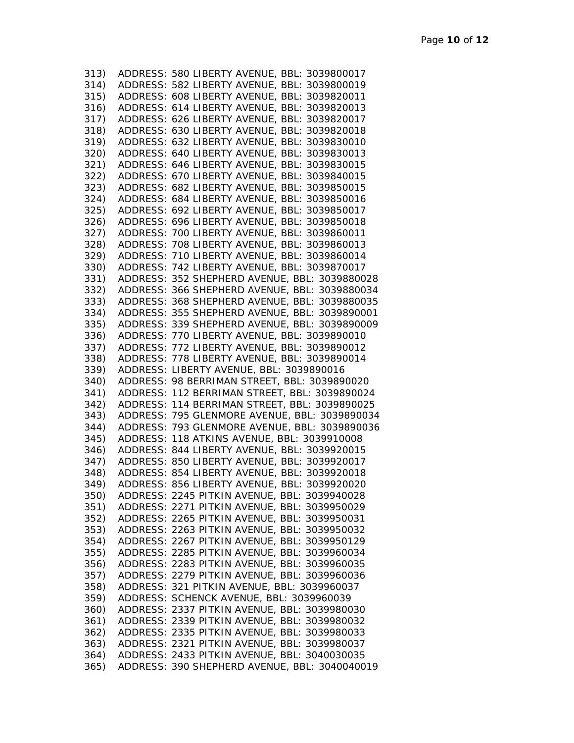| 313) | ADDRESS: 580 LIBERTY AVENUE, BBL: 3039800017                                                             |
|------|----------------------------------------------------------------------------------------------------------|
| 314) | ADDRESS: 582 LIBERTY AVENUE, BBL: 3039800019                                                             |
| 315) | ADDRESS: 608 LIBERTY AVENUE, BBL: 3039820011                                                             |
| 316) | ADDRESS: 614 LIBERTY AVENUE, BBL: 3039820013                                                             |
| 317) | ADDRESS: 626 LIBERTY AVENUE, BBL: 3039820017                                                             |
| 318) | ADDRESS: 630 LIBERTY AVENUE, BBL: 3039820018                                                             |
| 319) | ADDRESS: 632 LIBERTY AVENUE, BBL: 3039830010                                                             |
| 320) | ADDRESS: 640 LIBERTY AVENUE, BBL: 3039830013                                                             |
| 321) | ADDRESS: 646 LIBERTY AVENUE, BBL: 3039830015                                                             |
| 322) | ADDRESS: 670 LIBERTY AVENUE, BBL: 3039840015                                                             |
| 323) | ADDRESS: 682 LIBERTY AVENUE, BBL: 3039850015                                                             |
| 324) | ADDRESS: 684 LIBERTY AVENUE, BBL: 3039850016                                                             |
| 325) | ADDRESS: 692 LIBERTY AVENUE, BBL: 3039850017                                                             |
| 326) | ADDRESS: 696 LIBERTY AVENUE, BBL: 3039850018                                                             |
| 327) | ADDRESS: 700 LIBERTY AVENUE, BBL: 3039860011                                                             |
| 328) | ADDRESS: 708 LIBERTY AVENUE, BBL: 3039860013                                                             |
| 329) | ADDRESS: 710 LIBERTY AVENUE, BBL: 3039860014                                                             |
| 330) | ADDRESS: 742 LIBERTY AVENUE, BBL: 3039870017                                                             |
|      | 331) ADDRESS: 352 SHEPHERD AVENUE, BBL: 3039880028                                                       |
|      | 332) ADDRESS: 366 SHEPHERD AVENUE, BBL: 3039880034                                                       |
|      |                                                                                                          |
|      | 333) ADDRESS: 368 SHEPHERD AVENUE, BBL: 3039880035<br>334) ADDRESS: 355 SHEPHERD AVENUE, BBL: 3039890001 |
|      |                                                                                                          |
|      | 335) ADDRESS: 339 SHEPHERD AVENUE, BBL: 3039890009                                                       |
|      | 336) ADDRESS: 770 LIBERTY AVENUE, BBL: 3039890010                                                        |
|      | 337) ADDRESS: 772 LIBERTY AVENUE, BBL: 3039890012<br>338) ADDRESS: 778 LIBERTY AVENUE, BBL: 3039890014   |
|      | 339) ADDRESS: LIBERTY AVENUE, BBL: 3039890016                                                            |
|      | 340) ADDRESS: 98 BERRIMAN STREET, BBL: 3039890020                                                        |
|      | 341) ADDRESS: 112 BERRIMAN STREET, BBL: 3039890024                                                       |
|      | 342) ADDRESS: 114 BERRIMAN STREET, BBL: 3039890025                                                       |
|      | 343) ADDRESS: 795 GLENMORE AVENUE, BBL: 3039890034                                                       |
|      | 344) ADDRESS: 793 GLENMORE AVENUE, BBL: 3039890036                                                       |
|      | 345) ADDRESS: 118 ATKINS AVENUE, BBL: 3039910008                                                         |
|      | 346) ADDRESS: 844 LIBERTY AVENUE, BBL: 3039920015                                                        |
|      | 347) ADDRESS: 850 LIBERTY AVENUE, BBL: 3039920017                                                        |
|      | 348) ADDRESS: 854 LIBERTY AVENUE, BBL: 3039920018                                                        |
|      | 349) ADDRESS: 856 LIBERTY AVENUE, BBL: 3039920020                                                        |
| 350) | ADDRESS: 2245 PITKIN AVENUE, BBL: 3039940028                                                             |
| 351) | ADDRESS: 2271 PITKIN AVENUE, BBL: 3039950029                                                             |
| 352) | ADDRESS: 2265 PITKIN AVENUE, BBL: 3039950031                                                             |
| 353) | ADDRESS: 2263 PITKIN AVENUE, BBL: 3039950032                                                             |
| 354) | ADDRESS: 2267 PITKIN AVENUE, BBL: 3039950129                                                             |
| 355) | ADDRESS: 2285 PITKIN AVENUE, BBL: 3039960034                                                             |
| 356) | ADDRESS: 2283 PITKIN AVENUE, BBL: 3039960035                                                             |
| 357) | ADDRESS: 2279 PITKIN AVENUE, BBL: 3039960036                                                             |
| 358) | ADDRESS: 321 PITKIN AVENUE, BBL: 3039960037                                                              |
| 359) | ADDRESS: SCHENCK AVENUE, BBL: 3039960039                                                                 |
| 360) | ADDRESS: 2337 PITKIN AVENUE, BBL: 3039980030                                                             |
| 361) | ADDRESS: 2339 PITKIN AVENUE, BBL: 3039980032                                                             |
| 362) | ADDRESS: 2335 PITKIN AVENUE, BBL: 3039980033                                                             |
| 363) | ADDRESS: 2321 PITKIN AVENUE, BBL: 3039980037                                                             |
| 364) | ADDRESS: 2433 PITKIN AVENUE, BBL: 3040030035                                                             |
| 365) | ADDRESS: 390 SHEPHERD AVENUE, BBL: 3040040019                                                            |
|      |                                                                                                          |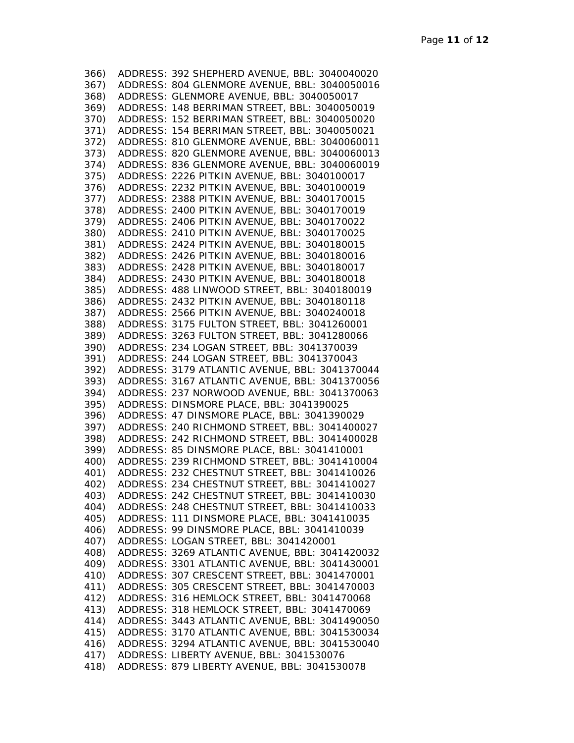| 366) | ADDRESS: 392 SHEPHERD AVENUE, BBL: 3040040020  |
|------|------------------------------------------------|
| 367) | ADDRESS: 804 GLENMORE AVENUE, BBL: 3040050016  |
| 368) | ADDRESS: GLENMORE AVENUE, BBL: 3040050017      |
|      |                                                |
| 369) | ADDRESS: 148 BERRIMAN STREET, BBL: 3040050019  |
| 370) | ADDRESS: 152 BERRIMAN STREET, BBL: 3040050020  |
| 371) | ADDRESS: 154 BERRIMAN STREET, BBL: 3040050021  |
| 372) | ADDRESS: 810 GLENMORE AVENUE, BBL: 3040060011  |
|      |                                                |
| 373) | ADDRESS: 820 GLENMORE AVENUE, BBL: 3040060013  |
| 374) | ADDRESS: 836 GLENMORE AVENUE, BBL: 3040060019  |
| 375) | ADDRESS: 2226 PITKIN AVENUE, BBL: 3040100017   |
| 376) | ADDRESS: 2232 PITKIN AVENUE, BBL: 3040100019   |
| 377) | ADDRESS: 2388 PITKIN AVENUE, BBL: 3040170015   |
|      | ADDRESS: 2400 PITKIN AVENUE, BBL: 3040170019   |
| 378) |                                                |
| 379) | ADDRESS: 2406 PITKIN AVENUE, BBL: 3040170022   |
| 380) | ADDRESS: 2410 PITKIN AVENUE, BBL: 3040170025   |
| 381) | ADDRESS: 2424 PITKIN AVENUE, BBL: 3040180015   |
| 382) | ADDRESS: 2426 PITKIN AVENUE, BBL: 3040180016   |
| 383) | ADDRESS: 2428 PITKIN AVENUE, BBL: 3040180017   |
|      |                                                |
| 384) | ADDRESS: 2430 PITKIN AVENUE, BBL: 3040180018   |
| 385) | ADDRESS: 488 LINWOOD STREET, BBL: 3040180019   |
| 386) | ADDRESS: 2432 PITKIN AVENUE, BBL: 3040180118   |
| 387) | ADDRESS: 2566 PITKIN AVENUE, BBL: 3040240018   |
| 388) | ADDRESS: 3175 FULTON STREET, BBL: 3041260001   |
| 389) | ADDRESS: 3263 FULTON STREET, BBL: 3041280066   |
| 390) | ADDRESS: 234 LOGAN STREET, BBL: 3041370039     |
|      |                                                |
| 391) | ADDRESS: 244 LOGAN STREET, BBL: 3041370043     |
| 392) | ADDRESS: 3179 ATLANTIC AVENUE, BBL: 3041370044 |
| 393) | ADDRESS: 3167 ATLANTIC AVENUE, BBL: 3041370056 |
| 394) | ADDRESS: 237 NORWOOD AVENUE, BBL: 3041370063   |
| 395) | ADDRESS: DINSMORE PLACE, BBL: 3041390025       |
| 396) | ADDRESS: 47 DINSMORE PLACE, BBL: 3041390029    |
| 397) | ADDRESS: 240 RICHMOND STREET, BBL: 3041400027  |
|      |                                                |
| 398) | ADDRESS: 242 RICHMOND STREET, BBL: 3041400028  |
| 399) | ADDRESS: 85 DINSMORE PLACE, BBL: 3041410001    |
| 400) | ADDRESS: 239 RICHMOND STREET, BBL: 3041410004  |
| 401) | ADDRESS: 232 CHESTNUT STREET, BBL: 3041410026  |
| 402) | ADDRESS: 234 CHESTNUT STREET, BBL: 3041410027  |
| 403) | ADDRESS: 242 CHESTNUT STREET, BBL: 3041410030  |
| 404) | ADDRESS: 248 CHESTNUT STREET, BBL: 3041410033  |
|      |                                                |
| 405) | ADDRESS: 111 DINSMORE PLACE, BBL: 3041410035   |
| 406) | ADDRESS: 99 DINSMORE PLACE, BBL: 3041410039    |
| 407) | ADDRESS: LOGAN STREET, BBL: 3041420001         |
| 408) | ADDRESS: 3269 ATLANTIC AVENUE, BBL: 3041420032 |
| 409) | ADDRESS: 3301 ATLANTIC AVENUE, BBL: 3041430001 |
| 410) | ADDRESS: 307 CRESCENT STREET, BBL: 3041470001  |
| 411) | ADDRESS: 305 CRESCENT STREET, BBL: 3041470003  |
|      |                                                |
| 412) | ADDRESS: 316 HEMLOCK STREET, BBL: 3041470068   |
| 413) | ADDRESS: 318 HEMLOCK STREET, BBL: 3041470069   |
| 414) | ADDRESS: 3443 ATLANTIC AVENUE, BBL: 3041490050 |
| 415) | ADDRESS: 3170 ATLANTIC AVENUE, BBL: 3041530034 |
| 416) | ADDRESS: 3294 ATLANTIC AVENUE, BBL: 3041530040 |
| 417) | ADDRESS: LIBERTY AVENUE, BBL: 3041530076       |
|      |                                                |
| 418) | ADDRESS: 879 LIBERTY AVENUE, BBL: 3041530078   |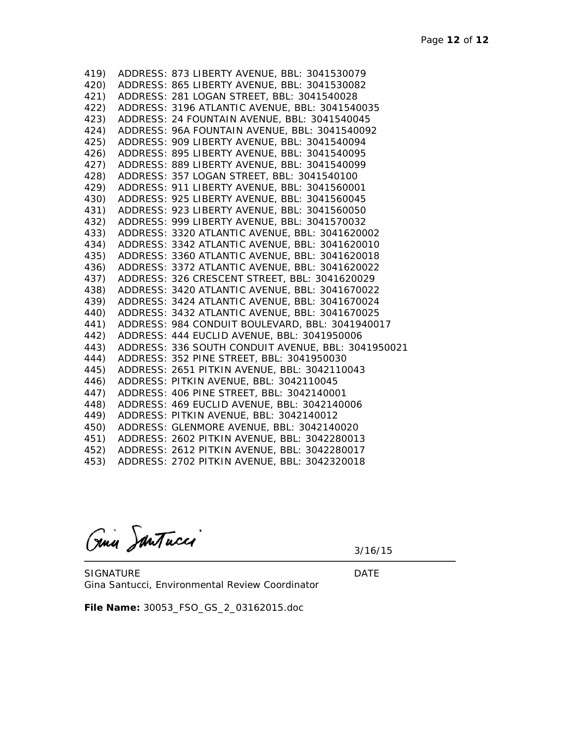| 419) | ADDRESS: 873 LIBERTY AVENUE, BBL: 3041530079            |
|------|---------------------------------------------------------|
|      | 420) ADDRESS: 865 LIBERTY AVENUE, BBL: 3041530082       |
|      | 421) ADDRESS: 281 LOGAN STREET, BBL: 3041540028         |
|      | 422) ADDRESS: 3196 ATLANTIC AVENUE, BBL: 3041540035     |
|      | 423) ADDRESS: 24 FOUNTAIN AVENUE, BBL: 3041540045       |
| 424) | ADDRESS: 96A FOUNTAIN AVENUE, BBL: 3041540092           |
|      | 425) ADDRESS: 909 LIBERTY AVENUE, BBL: 3041540094       |
| 426) | ADDRESS: 895 LIBERTY AVENUE, BBL: 3041540095            |
|      | 427) ADDRESS: 889 LIBERTY AVENUE, BBL: 3041540099       |
|      | 428) ADDRESS: 357 LOGAN STREET, BBL: 3041540100         |
| 429) | ADDRESS: 911 LIBERTY AVENUE, BBL: 3041560001            |
| 430) | ADDRESS: 925 LIBERTY AVENUE, BBL: 3041560045            |
| 431) | ADDRESS: 923 LIBERTY AVENUE, BBL: 3041560050            |
|      | 432) ADDRESS: 999 LIBERTY AVENUE, BBL: 3041570032       |
|      | 433) ADDRESS: 3320 ATLANTIC AVENUE, BBL: 3041620002     |
|      | 434) ADDRESS: 3342 ATLANTIC AVENUE, BBL: 3041620010     |
|      | 435) ADDRESS: 3360 ATLANTIC AVENUE, BBL: 3041620018     |
|      | 436) ADDRESS: 3372 ATLANTIC AVENUE, BBL: 3041620022     |
|      | 437) ADDRESS: 326 CRESCENT STREET, BBL: 3041620029      |
|      | 438) ADDRESS: 3420 ATLANTIC AVENUE, BBL: 3041670022     |
|      | 439) ADDRESS: 3424 ATLANTIC AVENUE, BBL: 3041670024     |
|      | 440) ADDRESS: 3432 ATLANTIC AVENUE, BBL: 3041670025     |
|      | 441) ADDRESS: 984 CONDUIT BOULEVARD, BBL: 3041940017    |
|      | 442) ADDRESS: 444 EUCLID AVENUE, BBL: 3041950006        |
|      | 443) ADDRESS: 336 SOUTH CONDUIT AVENUE, BBL: 3041950021 |
| 444) | ADDRESS: 352 PINE STREET, BBL: 3041950030               |
| 445) | ADDRESS: 2651 PITKIN AVENUE, BBL: 3042110043            |
| 446) | ADDRESS: PITKIN AVENUE, BBL: 3042110045                 |
|      | 447) ADDRESS: 406 PINE STREET, BBL: 3042140001          |
|      | 448) ADDRESS: 469 EUCLID AVENUE, BBL: 3042140006        |
|      | 449) ADDRESS: PITKIN AVENUE, BBL: 3042140012            |
|      | 450) ADDRESS: GLENMORE AVENUE, BBL: 3042140020          |
|      | 451) ADDRESS: 2602 PITKIN AVENUE, BBL: 3042280013       |
|      | 452) ADDRESS: 2612 PITKIN AVENUE, BBL: 3042280017       |
| 453) | ADDRESS: 2702 PITKIN AVENUE, BBL: 3042320018            |

Gina Santucci

3/16/15

SIGNATURE DATE Gina Santucci, Environmental Review Coordinator

**File Name:** 30053\_FSO\_GS\_2\_03162015.doc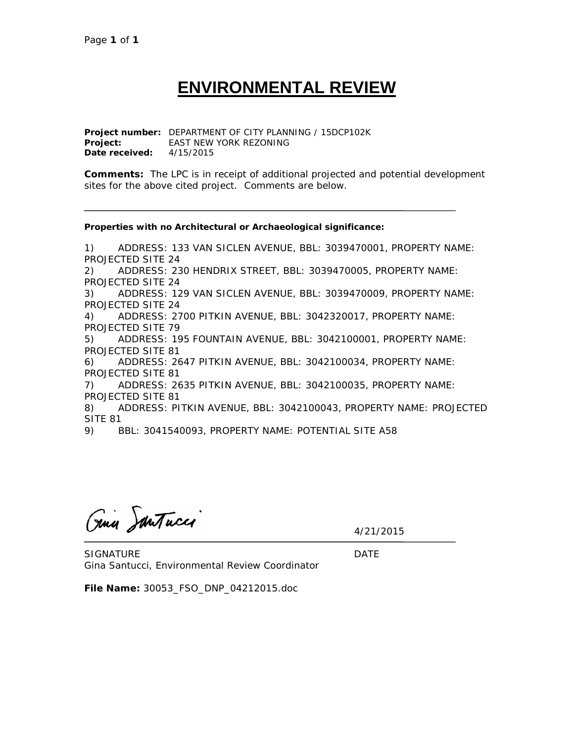# **ENVIRONMENTAL REVIEW**

**Project number:** DEPARTMENT OF CITY PLANNING / 15DCP102K **Project:** EAST NEW YORK REZONING **Date received:** 4/15/2015

**Comments:** The LPC is in receipt of additional projected and potential development sites for the above cited project. Comments are below.

**Properties with no Architectural or Archaeological significance:**

1) ADDRESS: 133 VAN SICLEN AVENUE, BBL: 3039470001, PROPERTY NAME: PROJECTED SITE 24 2) ADDRESS: 230 HENDRIX STREET, BBL: 3039470005, PROPERTY NAME: PROJECTED SITE 24 3) ADDRESS: 129 VAN SICLEN AVENUE, BBL: 3039470009, PROPERTY NAME: PROJECTED SITE 24 4) ADDRESS: 2700 PITKIN AVENUE, BBL: 3042320017, PROPERTY NAME: PROJECTED SITE 79 5) ADDRESS: 195 FOUNTAIN AVENUE, BBL: 3042100001, PROPERTY NAME: PROJECTED SITE 81 6) ADDRESS: 2647 PITKIN AVENUE, BBL: 3042100034, PROPERTY NAME: PROJECTED SITE 81 7) ADDRESS: 2635 PITKIN AVENUE, BBL: 3042100035, PROPERTY NAME: PROJECTED SITE 81 8) ADDRESS: PITKIN AVENUE, BBL: 3042100043, PROPERTY NAME: PROJECTED SITE 81 9) BBL: 3041540093, PROPERTY NAME: POTENTIAL SITE A58

Gina JanTucco

4/21/2015

SIGNATURE DATE Gina Santucci, Environmental Review Coordinator

**File Name:** 30053\_FSO\_DNP\_04212015.doc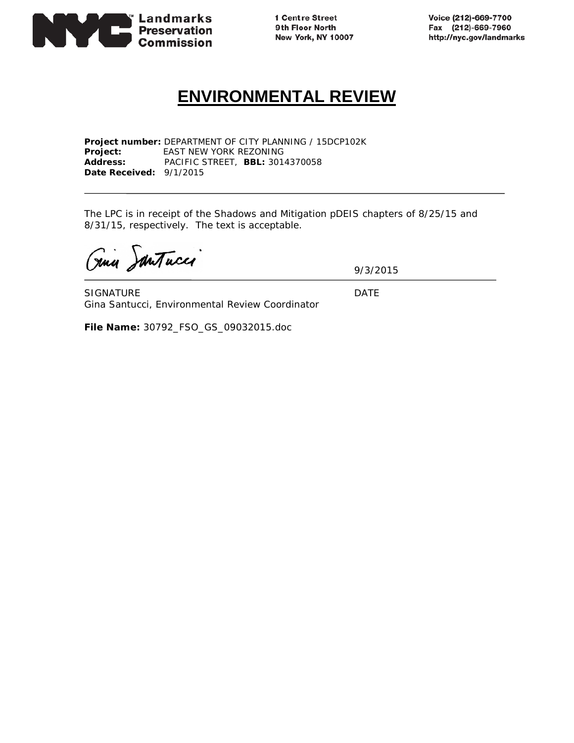

1 Centre Street 9th Floor North New York, NY 10007 Voice (212)-669-7700 Fax (212)-669-7960 http://nyc.gov/landmarks

## **ENVIRONMENTAL REVIEW**

**Project number:** DEPARTMENT OF CITY PLANNING / 15DCP102K **Project:** EAST NEW YORK REZONING **Address:** PACIFIC STREET, **BBL:** 3014370058 **Date Received:** 9/1/2015

The LPC is in receipt of the Shadows and Mitigation pDEIS chapters of 8/25/15 and 8/31/15, respectively. The text is acceptable.

Gina Santucco

9/3/2015

SIGNATURE DATE Gina Santucci, Environmental Review Coordinator

**File Name:** 30792\_FSO\_GS\_09032015.doc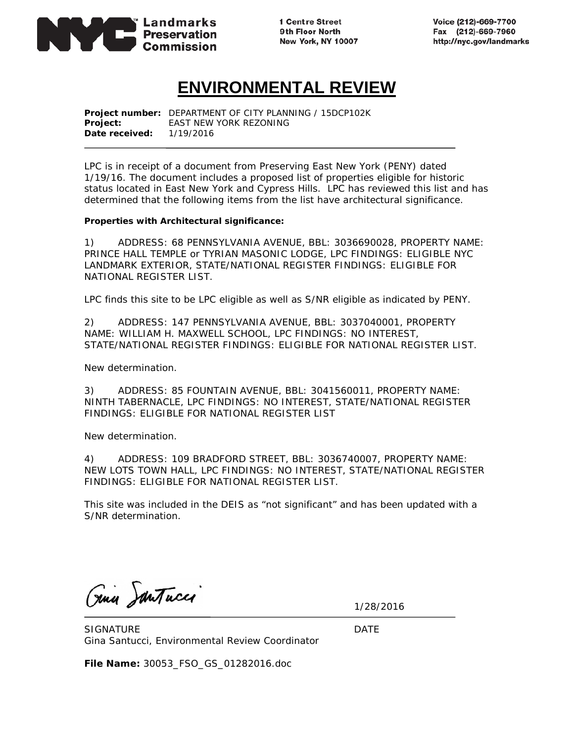

1 Centre Street 9th Floor North New York, NY 10007 Voice (212)-669-7700 Fax (212)-669-7960 http://nyc.gov/landmarks

## **ENVIRONMENTAL REVIEW**

**Project number:** DEPARTMENT OF CITY PLANNING / 15DCP102K **Project:** EAST NEW YORK REZONING **Date received:** 1/19/2016

LPC is in receipt of a document from Preserving East New York (PENY) dated 1/19/16. The document includes a proposed list of properties eligible for historic status located in East New York and Cypress Hills. LPC has reviewed this list and has determined that the following items from the list have architectural significance.

#### **Properties with Architectural significance:**

1) ADDRESS: 68 PENNSYLVANIA AVENUE, BBL: 3036690028, PROPERTY NAME: PRINCE HALL TEMPLE or TYRIAN MASONIC LODGE, LPC FINDINGS: ELIGIBLE NYC LANDMARK EXTERIOR, STATE/NATIONAL REGISTER FINDINGS: ELIGIBLE FOR NATIONAL REGISTER LIST.

LPC finds this site to be LPC eligible as well as S/NR eligible as indicated by PENY.

2) ADDRESS: 147 PENNSYLVANIA AVENUE, BBL: 3037040001, PROPERTY NAME: WILLIAM H. MAXWELL SCHOOL, LPC FINDINGS: NO INTEREST, STATE/NATIONAL REGISTER FINDINGS: ELIGIBLE FOR NATIONAL REGISTER LIST.

New determination.

3) ADDRESS: 85 FOUNTAIN AVENUE, BBL: 3041560011, PROPERTY NAME: NINTH TABERNACLE, LPC FINDINGS: NO INTEREST, STATE/NATIONAL REGISTER FINDINGS: ELIGIBLE FOR NATIONAL REGISTER LIST

New determination.

4) ADDRESS: 109 BRADFORD STREET, BBL: 3036740007, PROPERTY NAME: NEW LOTS TOWN HALL, LPC FINDINGS: NO INTEREST, STATE/NATIONAL REGISTER FINDINGS: ELIGIBLE FOR NATIONAL REGISTER LIST.

This site was included in the DEIS as "not significant" and has been updated with a S/NR determination.

Gina JanTucco

1/28/2016

SIGNATURE DATE Gina Santucci, Environmental Review Coordinator

**File Name:** 30053\_FSO\_GS\_01282016.doc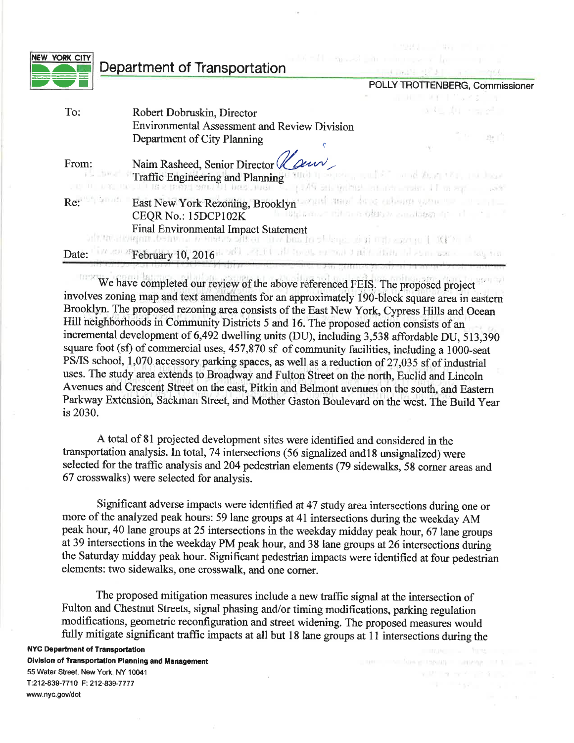| EW YORK CITY    | Department of Transportation                                                                                                                                                                                                                                                                                                                 | الوالد والمستحقق والمتحدث والمستحقق والمتقارع فالمتناقص والمتناقص<br>The matter of the committee of the |
|-----------------|----------------------------------------------------------------------------------------------------------------------------------------------------------------------------------------------------------------------------------------------------------------------------------------------------------------------------------------------|---------------------------------------------------------------------------------------------------------|
|                 |                                                                                                                                                                                                                                                                                                                                              | POLLY TROTTENBERG, Commissioner<br>THE REPORT OF STREET                                                 |
| To:             | Robert Dobruskin, Director                                                                                                                                                                                                                                                                                                                   | 医红染色 化异硫酸                                                                                               |
|                 | <b>Environmental Assessment and Review Division</b><br>Department of City Planning                                                                                                                                                                                                                                                           | $\sim$ $\frac{1}{22}$                                                                                   |
| From:           | Naim Rasheed, Senior Director (Law<br>Traffic Engineering and Planning <sup>12</sup> 2001 11 20 per send for a solid and the property of the send of the send                                                                                                                                                                                |                                                                                                         |
| Re: 2014 That I | East New York Rezoning, Brooklyn want all and the continuum and the state of the<br>CEQR No.: 15DCP102K<br>Final Environmental Impact Statement<br>and the property of the contract of the contract of the contract of the contract of the contract of the contract of the contract of the contract of the contract of the contract of the c | le Balance Brancodes e condosante de la finit                                                           |
| Date:           | We see February 10, 2016 and a fill of the start and 3 minutes in a summer state they the                                                                                                                                                                                                                                                    |                                                                                                         |

We have completed our review of the above referenced FEIS. The proposed project involves zoning map and text amendments for an approximately 190-block square area in eastern Brooklyn. The proposed rezoning area consists of the East New York, Cypress Hills and Ocean Hill neighborhoods in Community Districts 5 and 16. The proposed action consists of an incremental development of 6,492 dwelling units (DU), including 3,538 affordable DU, 513,390 square foot (sf) of commercial uses, 457,870 sf of community facilities, including a 1000-seat PS/IS school, 1,070 accessory parking spaces, as well as a reduction of 27,035 sf of industrial uses. The study area extends to Broadway and Fulton Street on the north, Euclid and Lincoln Avenues and Crescent Street on the east, Pitkin and Belmont avenues on the south, and Eastern Parkway Extension, Sackman Street, and Mother Gaston Boulevard on the west. The Build Year is 2030.

A total of 81 projected development sites were identified and considered in the transportation analysis. In total, 74 intersections (56 signalized and 18 unsignalized) were selected for the traffic analysis and 204 pedestrian elements (79 sidewalks, 58 corner areas and 67 crosswalks) were selected for analysis.

Significant adverse impacts were identified at 47 study area intersections during one or more of the analyzed peak hours: 59 lane groups at 41 intersections during the weekday AM peak hour, 40 lane groups at 25 intersections in the weekday midday peak hour, 67 lane groups at 39 intersections in the weekday PM peak hour, and 38 lane groups at 26 intersections during the Saturday midday peak hour. Significant pedestrian impacts were identified at four pedestrian elements: two sidewalks, one crosswalk, and one corner.

The proposed mitigation measures include a new traffic signal at the intersection of Fulton and Chestnut Streets, signal phasing and/or timing modifications, parking regulation modifications, geometric reconfiguration and street widening. The proposed measures would fully mitigate significant traffic impacts at all but 18 lane groups at 11 intersections during the

with my more up to provide

**NYC Department of Transportation** Division of Transportation Planning and Management 55 Water Street, New York, NY 10041 T:212-839-7710 F: 212-839-7777 www.nyc.gov/dot